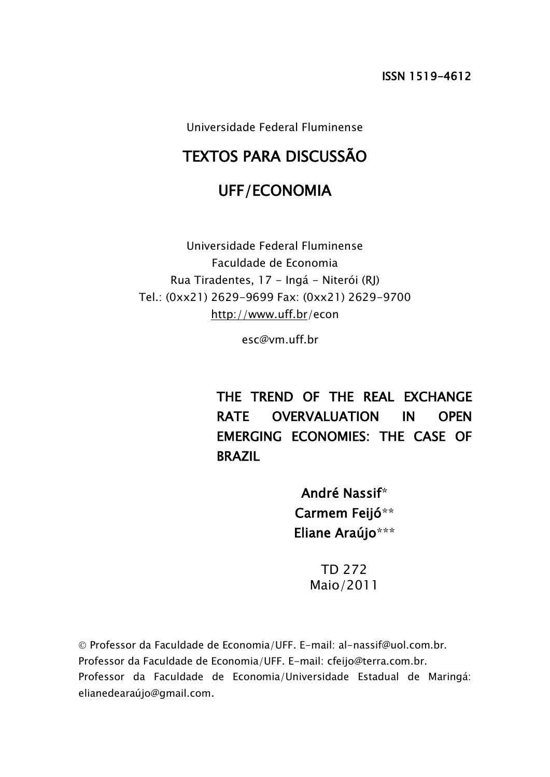Universidade Federal Fluminense

# TEXTOS PARA DISCUSSÃO

# UFF/ECONOMIA

Universidade Federal Fluminense Faculdade de Economia Rua Tiradentes, 17 - Ingá - Niterói (RJ) Tel.: (0xx21) 2629-9699 Fax: (0xx21) 2629-9700 <http://www.uff.br/>econ

esc@vm.uff.br

THE TREND OF THE REAL EXCHANGE RATE OVERVALUATION IN OPEN EMERGING ECONOMIES: THE CASE OF BRAZIL

> André Nassif\* Carmem Feijó\*\* Eliane Araújo\*\*\*

> > TD 272 Maio/2011

 Professor da Faculdade de Economia/UFF. E-mail: al-nassif@uol.com.br. Professor da Faculdade de Economia/UFF. E-mail: cfeijo@terra.com.br. Professor da Faculdade de Economia/Universidade Estadual de Maringá: elianedearaújo@gmail.com.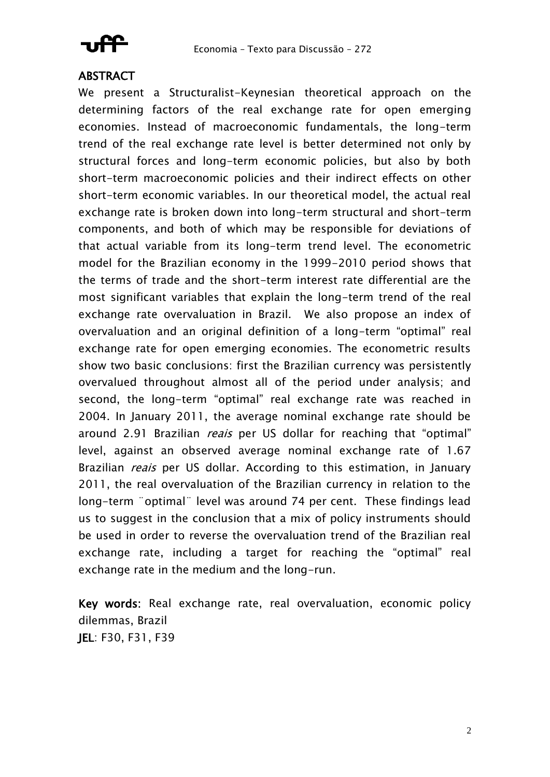

## **ABSTRACT**

We present a Structuralist-Keynesian theoretical approach on the determining factors of the real exchange rate for open emerging economies. Instead of macroeconomic fundamentals, the long-term trend of the real exchange rate level is better determined not only by structural forces and long-term economic policies, but also by both short-term macroeconomic policies and their indirect effects on other short-term economic variables. In our theoretical model, the actual real exchange rate is broken down into long-term structural and short-term components, and both of which may be responsible for deviations of that actual variable from its long-term trend level. The econometric model for the Brazilian economy in the 1999-2010 period shows that the terms of trade and the short-term interest rate differential are the most significant variables that explain the long-term trend of the real exchange rate overvaluation in Brazil. We also propose an index of overvaluation and an original definition of a long-term "optimal" real exchange rate for open emerging economies. The econometric results show two basic conclusions: first the Brazilian currency was persistently overvalued throughout almost all of the period under analysis; and second, the long-term "optimal" real exchange rate was reached in 2004. In January 2011, the average nominal exchange rate should be around 2.91 Brazilian *reais* per US dollar for reaching that "optimal" level, against an observed average nominal exchange rate of 1.67 Brazilian *reais* per US dollar. According to this estimation, in January 2011, the real overvaluation of the Brazilian currency in relation to the long-term ¨optimal¨ level was around 74 per cent. These findings lead us to suggest in the conclusion that a mix of policy instruments should be used in order to reverse the overvaluation trend of the Brazilian real exchange rate, including a target for reaching the "optimal" real exchange rate in the medium and the long-run.

Key words: Real exchange rate, real overvaluation, economic policy dilemmas, Brazil JEL: F30, F31, F39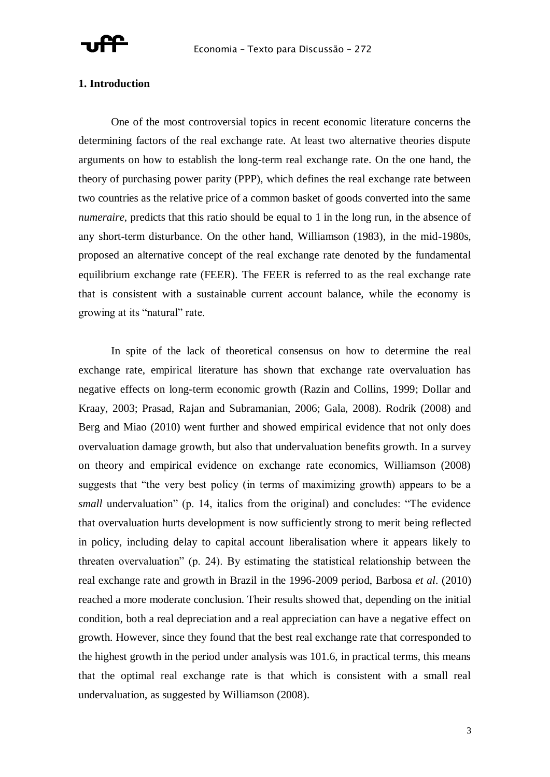

### **1. Introduction**

One of the most controversial topics in recent economic literature concerns the determining factors of the real exchange rate. At least two alternative theories dispute arguments on how to establish the long-term real exchange rate. On the one hand, the theory of purchasing power parity (PPP), which defines the real exchange rate between two countries as the relative price of a common basket of goods converted into the same *numeraire*, predicts that this ratio should be equal to 1 in the long run, in the absence of any short-term disturbance. On the other hand, Williamson (1983), in the mid-1980s, proposed an alternative concept of the real exchange rate denoted by the fundamental equilibrium exchange rate (FEER). The FEER is referred to as the real exchange rate that is consistent with a sustainable current account balance, while the economy is growing at its "natural" rate.

In spite of the lack of theoretical consensus on how to determine the real exchange rate, empirical literature has shown that exchange rate overvaluation has negative effects on long-term economic growth (Razin and Collins, 1999; Dollar and Kraay, 2003; Prasad, Rajan and Subramanian, 2006; Gala, 2008). Rodrik (2008) and Berg and Miao (2010) went further and showed empirical evidence that not only does overvaluation damage growth, but also that undervaluation benefits growth. In a survey on theory and empirical evidence on exchange rate economics, Williamson (2008) suggests that "the very best policy (in terms of maximizing growth) appears to be a *small* undervaluation" (p. 14, italics from the original) and concludes: "The evidence that overvaluation hurts development is now sufficiently strong to merit being reflected in policy, including delay to capital account liberalisation where it appears likely to threaten overvaluation" (p. 24). By estimating the statistical relationship between the real exchange rate and growth in Brazil in the 1996-2009 period, Barbosa *et al*. (2010) reached a more moderate conclusion. Their results showed that, depending on the initial condition, both a real depreciation and a real appreciation can have a negative effect on growth. However, since they found that the best real exchange rate that corresponded to the highest growth in the period under analysis was 101.6, in practical terms, this means that the optimal real exchange rate is that which is consistent with a small real undervaluation, as suggested by Williamson (2008).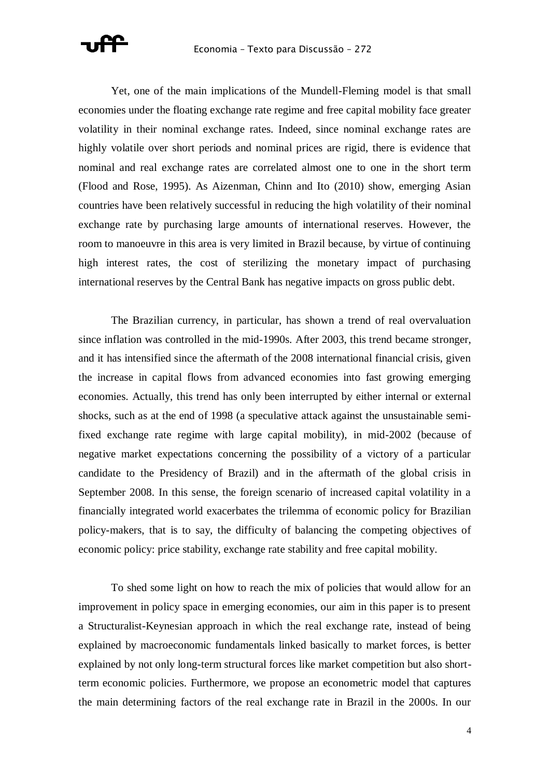

Yet, one of the main implications of the Mundell-Fleming model is that small economies under the floating exchange rate regime and free capital mobility face greater volatility in their nominal exchange rates. Indeed, since nominal exchange rates are highly volatile over short periods and nominal prices are rigid, there is evidence that nominal and real exchange rates are correlated almost one to one in the short term (Flood and Rose, 1995). As Aizenman, Chinn and Ito (2010) show, emerging Asian countries have been relatively successful in reducing the high volatility of their nominal exchange rate by purchasing large amounts of international reserves. However, the room to manoeuvre in this area is very limited in Brazil because, by virtue of continuing high interest rates, the cost of sterilizing the monetary impact of purchasing international reserves by the Central Bank has negative impacts on gross public debt.

The Brazilian currency, in particular, has shown a trend of real overvaluation since inflation was controlled in the mid-1990s. After 2003, this trend became stronger, and it has intensified since the aftermath of the 2008 international financial crisis, given the increase in capital flows from advanced economies into fast growing emerging economies. Actually, this trend has only been interrupted by either internal or external shocks, such as at the end of 1998 (a speculative attack against the unsustainable semifixed exchange rate regime with large capital mobility), in mid-2002 (because of negative market expectations concerning the possibility of a victory of a particular candidate to the Presidency of Brazil) and in the aftermath of the global crisis in September 2008. In this sense, the foreign scenario of increased capital volatility in a financially integrated world exacerbates the trilemma of economic policy for Brazilian policy-makers, that is to say, the difficulty of balancing the competing objectives of economic policy: price stability, exchange rate stability and free capital mobility.

To shed some light on how to reach the mix of policies that would allow for an improvement in policy space in emerging economies, our aim in this paper is to present a Structuralist-Keynesian approach in which the real exchange rate, instead of being explained by macroeconomic fundamentals linked basically to market forces, is better explained by not only long-term structural forces like market competition but also shortterm economic policies. Furthermore, we propose an econometric model that captures the main determining factors of the real exchange rate in Brazil in the 2000s. In our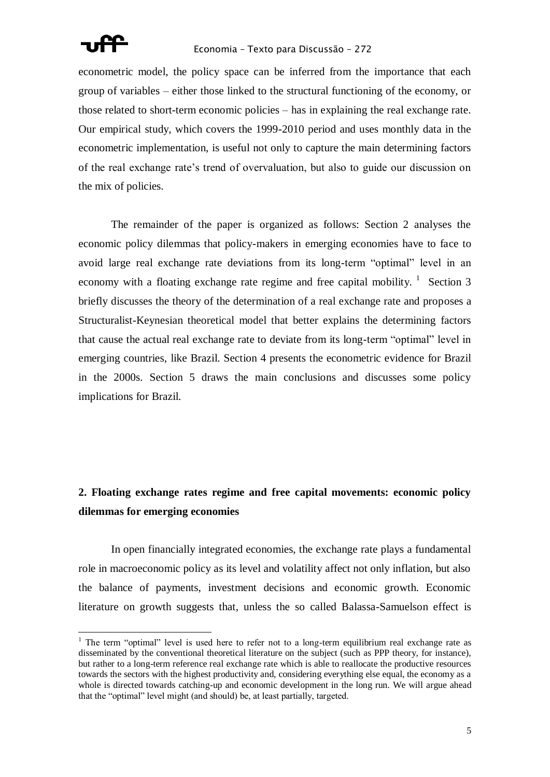

econometric model, the policy space can be inferred from the importance that each group of variables – either those linked to the structural functioning of the economy, or those related to short-term economic policies – has in explaining the real exchange rate. Our empirical study, which covers the 1999-2010 period and uses monthly data in the econometric implementation, is useful not only to capture the main determining factors of the real exchange rate's trend of overvaluation, but also to guide our discussion on the mix of policies.

The remainder of the paper is organized as follows: Section 2 analyses the economic policy dilemmas that policy-makers in emerging economies have to face to avoid large real exchange rate deviations from its long-term "optimal" level in an economy with a floating exchange rate regime and free capital mobility.  $\frac{1}{1}$  Section 3 briefly discusses the theory of the determination of a real exchange rate and proposes a Structuralist-Keynesian theoretical model that better explains the determining factors that cause the actual real exchange rate to deviate from its long-term "optimal" level in emerging countries, like Brazil. Section 4 presents the econometric evidence for Brazil in the 2000s. Section 5 draws the main conclusions and discusses some policy implications for Brazil.

## **2. Floating exchange rates regime and free capital movements: economic policy dilemmas for emerging economies**

In open financially integrated economies, the exchange rate plays a fundamental role in macroeconomic policy as its level and volatility affect not only inflation, but also the balance of payments, investment decisions and economic growth. Economic literature on growth suggests that, unless the so called Balassa-Samuelson effect is

<sup>&</sup>lt;sup>1</sup> The term "optimal" level is used here to refer not to a long-term equilibrium real exchange rate as disseminated by the conventional theoretical literature on the subject (such as PPP theory, for instance), but rather to a long-term reference real exchange rate which is able to reallocate the productive resources towards the sectors with the highest productivity and, considering everything else equal, the economy as a whole is directed towards catching-up and economic development in the long run. We will argue ahead that the "optimal" level might (and should) be, at least partially, targeted.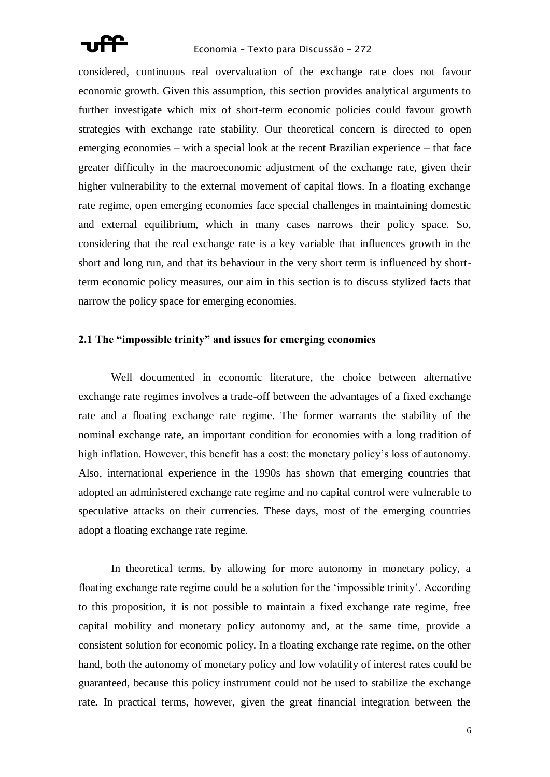

considered, continuous real overvaluation of the exchange rate does not favour economic growth. Given this assumption, this section provides analytical arguments to further investigate which mix of short-term economic policies could favour growth strategies with exchange rate stability. Our theoretical concern is directed to open emerging economies – with a special look at the recent Brazilian experience – that face greater difficulty in the macroeconomic adjustment of the exchange rate, given their higher vulnerability to the external movement of capital flows. In a floating exchange rate regime, open emerging economies face special challenges in maintaining domestic and external equilibrium, which in many cases narrows their policy space. So, considering that the real exchange rate is a key variable that influences growth in the short and long run, and that its behaviour in the very short term is influenced by shortterm economic policy measures, our aim in this section is to discuss stylized facts that narrow the policy space for emerging economies.

### **2.1 The "impossible trinity" and issues for emerging economies**

Well documented in economic literature, the choice between alternative exchange rate regimes involves a trade-off between the advantages of a fixed exchange rate and a floating exchange rate regime. The former warrants the stability of the nominal exchange rate, an important condition for economies with a long tradition of high inflation. However, this benefit has a cost: the monetary policy's loss of autonomy. Also, international experience in the 1990s has shown that emerging countries that adopted an administered exchange rate regime and no capital control were vulnerable to speculative attacks on their currencies. These days, most of the emerging countries adopt a floating exchange rate regime.

In theoretical terms, by allowing for more autonomy in monetary policy, a floating exchange rate regime could be a solution for the 'impossible trinity'. According to this proposition, it is not possible to maintain a fixed exchange rate regime, free capital mobility and monetary policy autonomy and, at the same time, provide a consistent solution for economic policy. In a floating exchange rate regime, on the other hand, both the autonomy of monetary policy and low volatility of interest rates could be guaranteed, because this policy instrument could not be used to stabilize the exchange rate. In practical terms, however, given the great financial integration between the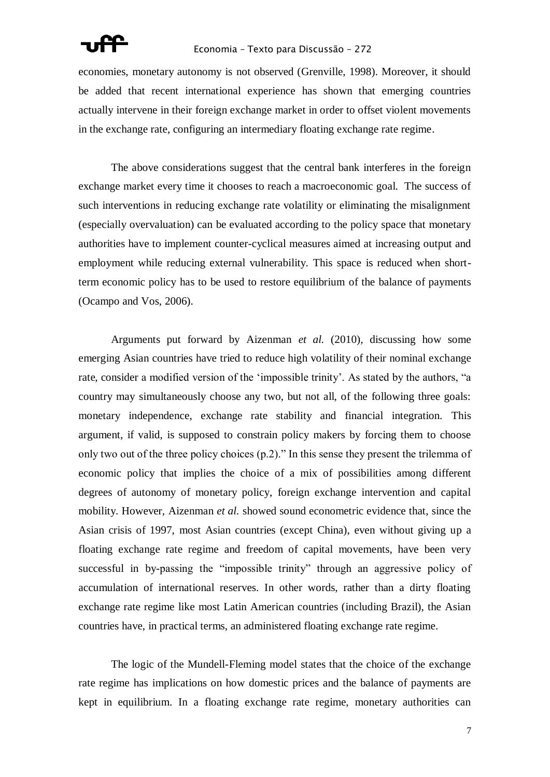### Economia – Texto para Discussão – 272

economies, monetary autonomy is not observed (Grenville, 1998). Moreover, it should be added that recent international experience has shown that emerging countries actually intervene in their foreign exchange market in order to offset violent movements in the exchange rate, configuring an intermediary floating exchange rate regime.

The above considerations suggest that the central bank interferes in the foreign exchange market every time it chooses to reach a macroeconomic goal. The success of such interventions in reducing exchange rate volatility or eliminating the misalignment (especially overvaluation) can be evaluated according to the policy space that monetary authorities have to implement counter-cyclical measures aimed at increasing output and employment while reducing external vulnerability. This space is reduced when shortterm economic policy has to be used to restore equilibrium of the balance of payments (Ocampo and Vos, 2006).

Arguments put forward by Aizenman *et al.* (2010), discussing how some emerging Asian countries have tried to reduce high volatility of their nominal exchange rate, consider a modified version of the 'impossible trinity'. As stated by the authors, "a country may simultaneously choose any two, but not all, of the following three goals: monetary independence, exchange rate stability and financial integration. This argument, if valid, is supposed to constrain policy makers by forcing them to choose only two out of the three policy choices  $(p.2)$ ." In this sense they present the trilemma of economic policy that implies the choice of a mix of possibilities among different degrees of autonomy of monetary policy, foreign exchange intervention and capital mobility. However, Aizenman *et al.* showed sound econometric evidence that, since the Asian crisis of 1997, most Asian countries (except China), even without giving up a floating exchange rate regime and freedom of capital movements, have been very successful in by-passing the "impossible trinity" through an aggressive policy of accumulation of international reserves. In other words, rather than a dirty floating exchange rate regime like most Latin American countries (including Brazil), the Asian countries have, in practical terms, an administered floating exchange rate regime.

The logic of the Mundell-Fleming model states that the choice of the exchange rate regime has implications on how domestic prices and the balance of payments are kept in equilibrium. In a floating exchange rate regime, monetary authorities can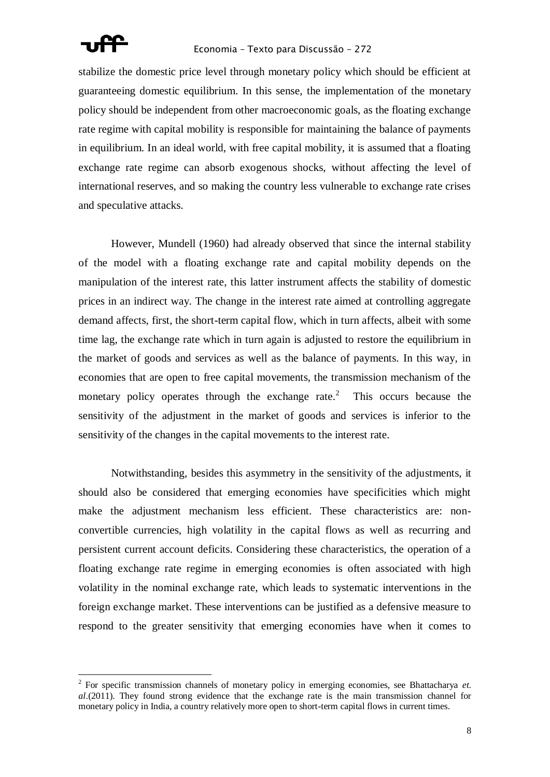

stabilize the domestic price level through monetary policy which should be efficient at guaranteeing domestic equilibrium. In this sense, the implementation of the monetary policy should be independent from other macroeconomic goals, as the floating exchange rate regime with capital mobility is responsible for maintaining the balance of payments in equilibrium. In an ideal world, with free capital mobility, it is assumed that a floating exchange rate regime can absorb exogenous shocks, without affecting the level of international reserves, and so making the country less vulnerable to exchange rate crises and speculative attacks.

However, Mundell (1960) had already observed that since the internal stability of the model with a floating exchange rate and capital mobility depends on the manipulation of the interest rate, this latter instrument affects the stability of domestic prices in an indirect way. The change in the interest rate aimed at controlling aggregate demand affects, first, the short-term capital flow, which in turn affects, albeit with some time lag, the exchange rate which in turn again is adjusted to restore the equilibrium in the market of goods and services as well as the balance of payments. In this way, in economies that are open to free capital movements, the transmission mechanism of the monetary policy operates through the exchange rate. $2$  This occurs because the sensitivity of the adjustment in the market of goods and services is inferior to the sensitivity of the changes in the capital movements to the interest rate.

Notwithstanding, besides this asymmetry in the sensitivity of the adjustments, it should also be considered that emerging economies have specificities which might make the adjustment mechanism less efficient. These characteristics are: nonconvertible currencies, high volatility in the capital flows as well as recurring and persistent current account deficits. Considering these characteristics, the operation of a floating exchange rate regime in emerging economies is often associated with high volatility in the nominal exchange rate, which leads to systematic interventions in the foreign exchange market. These interventions can be justified as a defensive measure to respond to the greater sensitivity that emerging economies have when it comes to

 2 For specific transmission channels of monetary policy in emerging economies, see Bhattacharya *et. al*.(2011). They found strong evidence that the exchange rate is the main transmission channel for monetary policy in India, a country relatively more open to short-term capital flows in current times.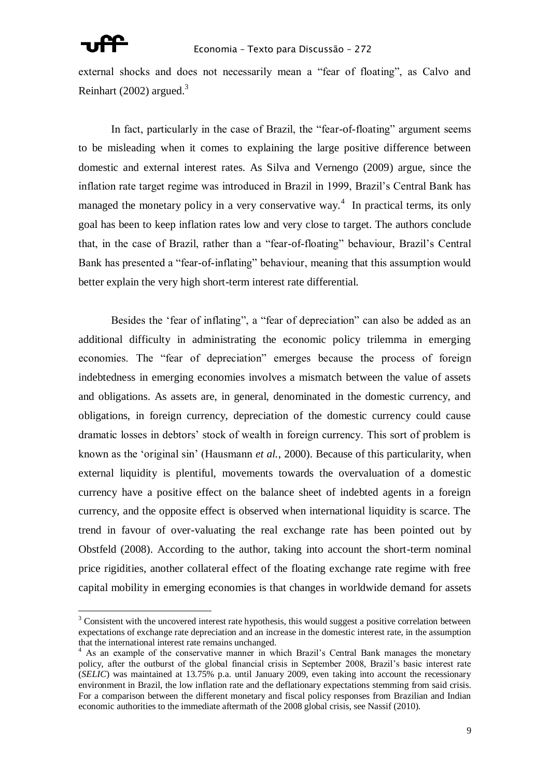external shocks and does not necessarily mean a "fear of floating", as Calvo and Reinhart (2002) argued.<sup>3</sup>

In fact, particularly in the case of Brazil, the "fear-of-floating" argument seems to be misleading when it comes to explaining the large positive difference between domestic and external interest rates. As Silva and Vernengo (2009) argue, since the inflation rate target regime was introduced in Brazil in 1999, Brazil's Central Bank has managed the monetary policy in a very conservative way.<sup>4</sup> In practical terms, its only goal has been to keep inflation rates low and very close to target. The authors conclude that, in the case of Brazil, rather than a "fear-of-floating" behaviour, Brazil's Central Bank has presented a "fear-of-inflating" behaviour, meaning that this assumption would better explain the very high short-term interest rate differential.

Besides the 'fear of inflating", a "fear of depreciation" can also be added as an additional difficulty in administrating the economic policy trilemma in emerging economies. The "fear of depreciation" emerges because the process of foreign indebtedness in emerging economies involves a mismatch between the value of assets and obligations. As assets are, in general, denominated in the domestic currency, and obligations, in foreign currency, depreciation of the domestic currency could cause dramatic losses in debtors' stock of wealth in foreign currency. This sort of problem is known as the 'original sin' (Hausmann *et al.*, 2000). Because of this particularity, when external liquidity is plentiful, movements towards the overvaluation of a domestic currency have a positive effect on the balance sheet of indebted agents in a foreign currency, and the opposite effect is observed when international liquidity is scarce. The trend in favour of over-valuating the real exchange rate has been pointed out by Obstfeld (2008). According to the author, taking into account the short-term nominal price rigidities, another collateral effect of the floating exchange rate regime with free capital mobility in emerging economies is that changes in worldwide demand for assets

<sup>&</sup>lt;sup>3</sup> Consistent with the uncovered interest rate hypothesis, this would suggest a positive correlation between expectations of exchange rate depreciation and an increase in the domestic interest rate, in the assumption that the international interest rate remains unchanged.

<sup>&</sup>lt;sup>4</sup> As an example of the conservative manner in which Brazil's Central Bank manages the monetary policy, after the outburst of the global financial crisis in September 2008, Brazil's basic interest rate (*SELIC*) was maintained at 13.75% p.a. until January 2009, even taking into account the recessionary environment in Brazil, the low inflation rate and the deflationary expectations stemming from said crisis. For a comparison between the different monetary and fiscal policy responses from Brazilian and Indian economic authorities to the immediate aftermath of the 2008 global crisis, see Nassif (2010).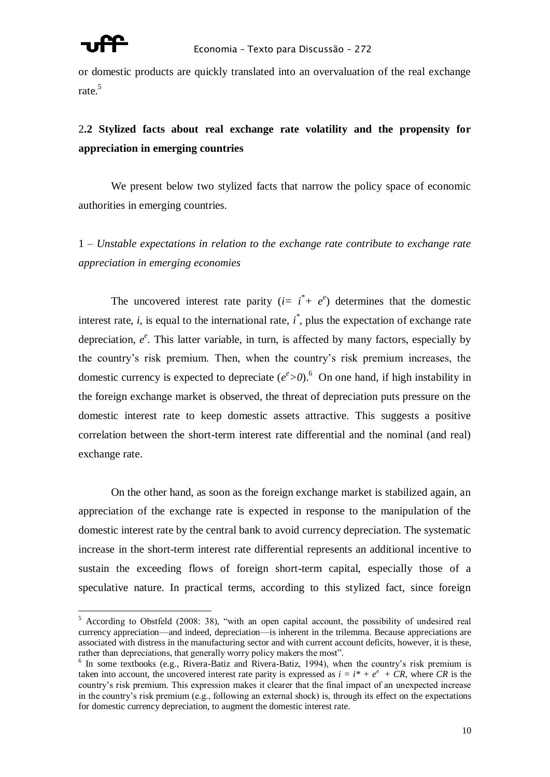

or domestic products are quickly translated into an overvaluation of the real exchange rate.<sup>5</sup>

## 2**.2 Stylized facts about real exchange rate volatility and the propensity for appreciation in emerging countries**

We present below two stylized facts that narrow the policy space of economic authorities in emerging countries.

1 – *Unstable expectations in relation to the exchange rate contribute to exchange rate appreciation in emerging economies*

The uncovered interest rate parity  $(i= i^* + e^e)$  determines that the domestic interest rate,  $i$ , is equal to the international rate,  $i^*$ , plus the expectation of exchange rate depreciation,  $e^e$ . This latter variable, in turn, is affected by many factors, especially by the country's risk premium. Then, when the country's risk premium increases, the domestic currency is expected to depreciate  $(e^e > 0)$ .<sup>6</sup> On one hand, if high instability in the foreign exchange market is observed, the threat of depreciation puts pressure on the domestic interest rate to keep domestic assets attractive. This suggests a positive correlation between the short-term interest rate differential and the nominal (and real) exchange rate.

On the other hand, as soon as the foreign exchange market is stabilized again, an appreciation of the exchange rate is expected in response to the manipulation of the domestic interest rate by the central bank to avoid currency depreciation. The systematic increase in the short-term interest rate differential represents an additional incentive to sustain the exceeding flows of foreign short-term capital, especially those of a speculative nature. In practical terms, according to this stylized fact, since foreign

 $5$  According to Obstfeld (2008: 38), "with an open capital account, the possibility of undesired real currency appreciation—and indeed, depreciation—is inherent in the trilemma. Because appreciations are associated with distress in the manufacturing sector and with current account deficits, however, it is these, rather than depreciations, that generally worry policy makers the most".

<sup>&</sup>lt;sup>6</sup> In some textbooks (e.g., Rivera-Batiz and Rivera-Batiz, 1994), when the country's risk premium is taken into account, the uncovered interest rate parity is expressed as  $i = i^* + e^e + CR$ , where *CR* is the country's risk premium. This expression makes it clearer that the final impact of an unexpected increase in the country's risk premium (e.g., following an external shock) is, through its effect on the expectations for domestic currency depreciation, to augment the domestic interest rate.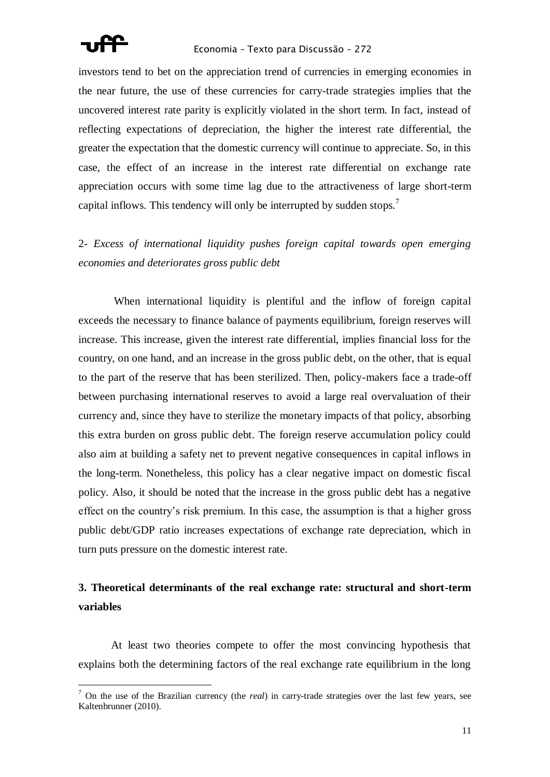

investors tend to bet on the appreciation trend of currencies in emerging economies in the near future, the use of these currencies for carry-trade strategies implies that the uncovered interest rate parity is explicitly violated in the short term. In fact, instead of reflecting expectations of depreciation, the higher the interest rate differential, the greater the expectation that the domestic currency will continue to appreciate. So, in this case, the effect of an increase in the interest rate differential on exchange rate appreciation occurs with some time lag due to the attractiveness of large short-term capital inflows. This tendency will only be interrupted by sudden stops.<sup>7</sup>

2- *Excess of international liquidity pushes foreign capital towards open emerging economies and deteriorates gross public debt*

When international liquidity is plentiful and the inflow of foreign capital exceeds the necessary to finance balance of payments equilibrium, foreign reserves will increase. This increase, given the interest rate differential, implies financial loss for the country, on one hand, and an increase in the gross public debt, on the other, that is equal to the part of the reserve that has been sterilized. Then, policy-makers face a trade-off between purchasing international reserves to avoid a large real overvaluation of their currency and, since they have to sterilize the monetary impacts of that policy, absorbing this extra burden on gross public debt. The foreign reserve accumulation policy could also aim at building a safety net to prevent negative consequences in capital inflows in the long-term. Nonetheless, this policy has a clear negative impact on domestic fiscal policy. Also, it should be noted that the increase in the gross public debt has a negative effect on the country's risk premium. In this case, the assumption is that a higher gross public debt/GDP ratio increases expectations of exchange rate depreciation, which in turn puts pressure on the domestic interest rate.

## **3. Theoretical determinants of the real exchange rate: structural and short-term variables**

At least two theories compete to offer the most convincing hypothesis that explains both the determining factors of the real exchange rate equilibrium in the long

<sup>7</sup> On the use of the Brazilian currency (the *real*) in carry-trade strategies over the last few years, see Kaltenbrunner (2010).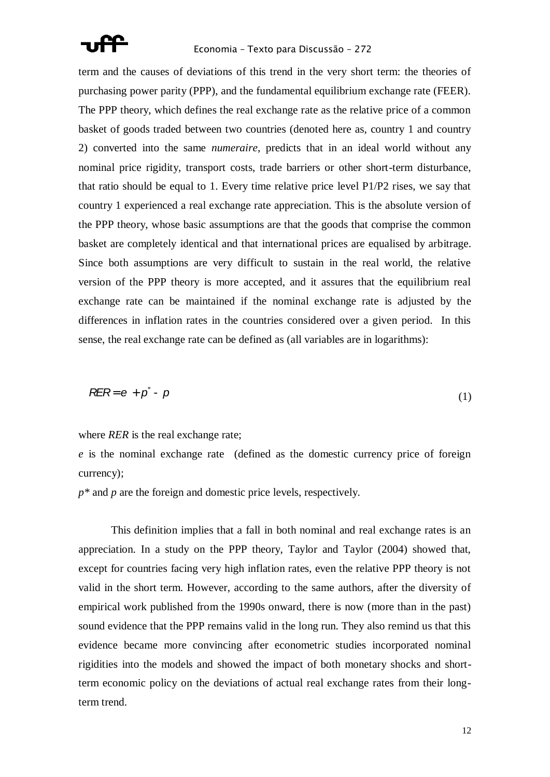

term and the causes of deviations of this trend in the very short term: the theories of purchasing power parity (PPP), and the fundamental equilibrium exchange rate (FEER). The PPP theory, which defines the real exchange rate as the relative price of a common basket of goods traded between two countries (denoted here as, country 1 and country 2) converted into the same *numeraire*, predicts that in an ideal world without any nominal price rigidity, transport costs, trade barriers or other short-term disturbance, that ratio should be equal to 1. Every time relative price level P1/P2 rises, we say that country 1 experienced a real exchange rate appreciation. This is the absolute version of the PPP theory, whose basic assumptions are that the goods that comprise the common basket are completely identical and that international prices are equalised by arbitrage. Since both assumptions are very difficult to sustain in the real world, the relative version of the PPP theory is more accepted, and it assures that the equilibrium real exchange rate can be maintained if the nominal exchange rate is adjusted by the differences in inflation rates in the countries considered over a given period. In this sense, the real exchange rate can be defined as (all variables are in logarithms):

$$
R\equiv R = e + p^* - p \tag{1}
$$

where *RER* is the real exchange rate;

*e* is the nominal exchange rate (defined as the domestic currency price of foreign currency);

*p\** and *p* are the foreign and domestic price levels, respectively.

This definition implies that a fall in both nominal and real exchange rates is an appreciation. In a study on the PPP theory, Taylor and Taylor (2004) showed that, except for countries facing very high inflation rates, even the relative PPP theory is not valid in the short term. However, according to the same authors, after the diversity of empirical work published from the 1990s onward, there is now (more than in the past) sound evidence that the PPP remains valid in the long run. They also remind us that this evidence became more convincing after econometric studies incorporated nominal rigidities into the models and showed the impact of both monetary shocks and shortterm economic policy on the deviations of actual real exchange rates from their longterm trend.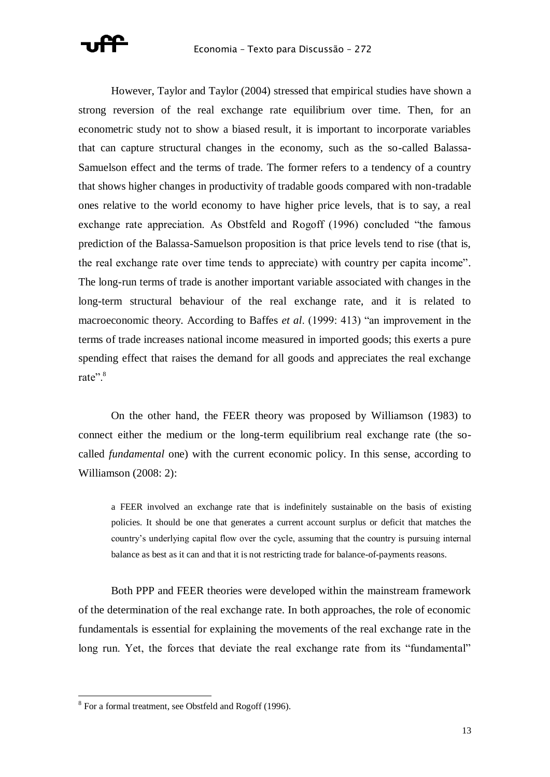

However, Taylor and Taylor (2004) stressed that empirical studies have shown a strong reversion of the real exchange rate equilibrium over time. Then, for an econometric study not to show a biased result, it is important to incorporate variables that can capture structural changes in the economy, such as the so-called Balassa-Samuelson effect and the terms of trade. The former refers to a tendency of a country that shows higher changes in productivity of tradable goods compared with non-tradable ones relative to the world economy to have higher price levels, that is to say, a real exchange rate appreciation. As Obstfeld and Rogoff (1996) concluded "the famous prediction of the Balassa-Samuelson proposition is that price levels tend to rise (that is, the real exchange rate over time tends to appreciate) with country per capita income". The long-run terms of trade is another important variable associated with changes in the long-term structural behaviour of the real exchange rate, and it is related to macroeconomic theory. According to Baffes *et al.* (1999: 413) "an improvement in the terms of trade increases national income measured in imported goods; this exerts a pure spending effect that raises the demand for all goods and appreciates the real exchange rate".<sup>8</sup>

On the other hand, the FEER theory was proposed by Williamson (1983) to connect either the medium or the long-term equilibrium real exchange rate (the socalled *fundamental* one) with the current economic policy. In this sense, according to Williamson (2008: 2):

a FEER involved an exchange rate that is indefinitely sustainable on the basis of existing policies. It should be one that generates a current account surplus or deficit that matches the country's underlying capital flow over the cycle, assuming that the country is pursuing internal balance as best as it can and that it is not restricting trade for balance-of-payments reasons.

Both PPP and FEER theories were developed within the mainstream framework of the determination of the real exchange rate. In both approaches, the role of economic fundamentals is essential for explaining the movements of the real exchange rate in the long run. Yet, the forces that deviate the real exchange rate from its "fundamental"

<sup>&</sup>lt;sup>8</sup> For a formal treatment, see Obstfeld and Rogoff (1996).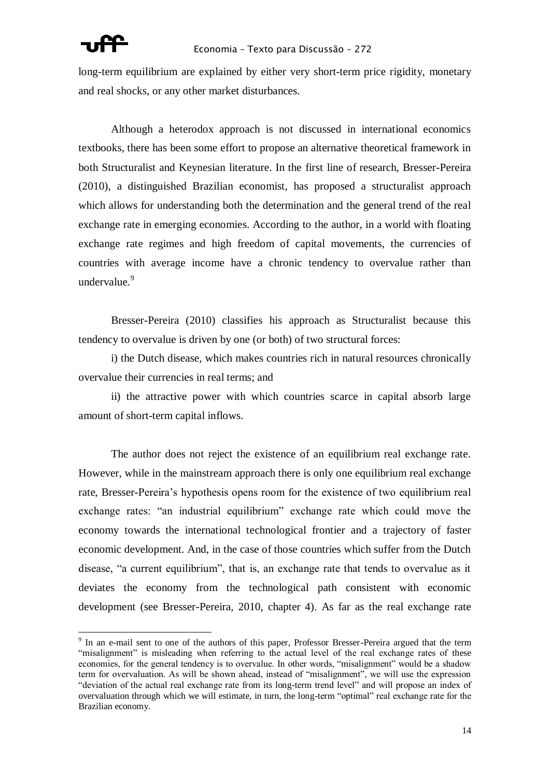long-term equilibrium are explained by either very short-term price rigidity, monetary and real shocks, or any other market disturbances.

Although a heterodox approach is not discussed in international economics textbooks, there has been some effort to propose an alternative theoretical framework in both Structuralist and Keynesian literature. In the first line of research, Bresser-Pereira (2010), a distinguished Brazilian economist, has proposed a structuralist approach which allows for understanding both the determination and the general trend of the real exchange rate in emerging economies. According to the author, in a world with floating exchange rate regimes and high freedom of capital movements, the currencies of countries with average income have a chronic tendency to overvalue rather than undervalue.<sup>9</sup>

Bresser-Pereira (2010) classifies his approach as Structuralist because this tendency to overvalue is driven by one (or both) of two structural forces:

i) the Dutch disease, which makes countries rich in natural resources chronically overvalue their currencies in real terms; and

ii) the attractive power with which countries scarce in capital absorb large amount of short-term capital inflows.

The author does not reject the existence of an equilibrium real exchange rate. However, while in the mainstream approach there is only one equilibrium real exchange rate, Bresser-Pereira's hypothesis opens room for the existence of two equilibrium real exchange rates: "an industrial equilibrium" exchange rate which could move the economy towards the international technological frontier and a trajectory of faster economic development. And, in the case of those countries which suffer from the Dutch disease, "a current equilibrium", that is, an exchange rate that tends to overvalue as it deviates the economy from the technological path consistent with economic development (see Bresser-Pereira, 2010, chapter 4). As far as the real exchange rate

<sup>&</sup>lt;sup>9</sup> In an e-mail sent to one of the authors of this paper, Professor Bresser-Pereira argued that the term "misalignment" is misleading when referring to the actual level of the real exchange rates of these economies, for the general tendency is to overvalue. In other words, "misalignment" would be a shadow term for overvaluation. As will be shown ahead, instead of "misalignment", we will use the expression "deviation of the actual real exchange rate from its long-term trend level" and will propose an index of overvaluation through which we will estimate, in turn, the long-term "optimal" real exchange rate for the Brazilian economy.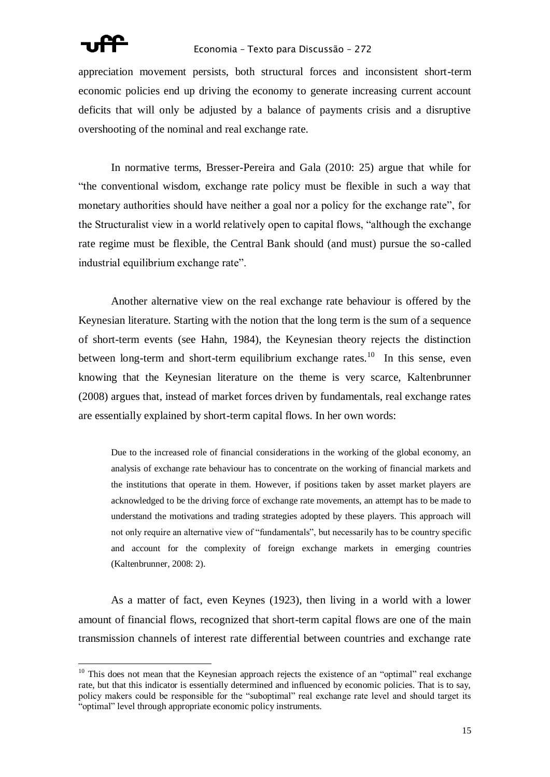

appreciation movement persists, both structural forces and inconsistent short-term economic policies end up driving the economy to generate increasing current account deficits that will only be adjusted by a balance of payments crisis and a disruptive overshooting of the nominal and real exchange rate.

In normative terms, Bresser-Pereira and Gala (2010: 25) argue that while for ―the conventional wisdom, exchange rate policy must be flexible in such a way that monetary authorities should have neither a goal nor a policy for the exchange rate", for the Structuralist view in a world relatively open to capital flows, "although the exchange rate regime must be flexible, the Central Bank should (and must) pursue the so-called industrial equilibrium exchange rate".

Another alternative view on the real exchange rate behaviour is offered by the Keynesian literature. Starting with the notion that the long term is the sum of a sequence of short-term events (see Hahn, 1984), the Keynesian theory rejects the distinction between long-term and short-term equilibrium exchange rates.<sup>10</sup> In this sense, even knowing that the Keynesian literature on the theme is very scarce, Kaltenbrunner (2008) argues that, instead of market forces driven by fundamentals, real exchange rates are essentially explained by short-term capital flows. In her own words:

Due to the increased role of financial considerations in the working of the global economy, an analysis of exchange rate behaviour has to concentrate on the working of financial markets and the institutions that operate in them. However, if positions taken by asset market players are acknowledged to be the driving force of exchange rate movements, an attempt has to be made to understand the motivations and trading strategies adopted by these players. This approach will not only require an alternative view of "fundamentals", but necessarily has to be country specific and account for the complexity of foreign exchange markets in emerging countries (Kaltenbrunner, 2008: 2).

As a matter of fact, even Keynes (1923), then living in a world with a lower amount of financial flows, recognized that short-term capital flows are one of the main transmission channels of interest rate differential between countries and exchange rate

 $10$  This does not mean that the Keynesian approach rejects the existence of an "optimal" real exchange rate, but that this indicator is essentially determined and influenced by economic policies. That is to say, policy makers could be responsible for the "suboptimal" real exchange rate level and should target its "optimal" level through appropriate economic policy instruments.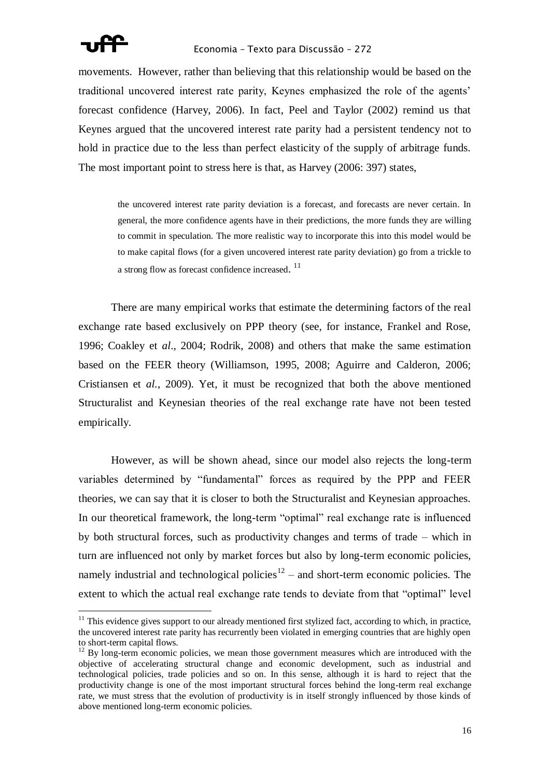

movements. However, rather than believing that this relationship would be based on the traditional uncovered interest rate parity, Keynes emphasized the role of the agents' forecast confidence (Harvey, 2006). In fact, Peel and Taylor (2002) remind us that Keynes argued that the uncovered interest rate parity had a persistent tendency not to hold in practice due to the less than perfect elasticity of the supply of arbitrage funds. The most important point to stress here is that, as Harvey (2006: 397) states,

the uncovered interest rate parity deviation is a forecast, and forecasts are never certain. In general, the more confidence agents have in their predictions, the more funds they are willing to commit in speculation. The more realistic way to incorporate this into this model would be to make capital flows (for a given uncovered interest rate parity deviation) go from a trickle to a strong flow as forecast confidence increased.<sup>11</sup>

There are many empirical works that estimate the determining factors of the real exchange rate based exclusively on PPP theory (see, for instance, Frankel and Rose, 1996; Coakley et *al*., 2004; Rodrik, 2008) and others that make the same estimation based on the FEER theory (Williamson, 1995, 2008; Aguirre and Calderon, 2006; Cristiansen et *al.*, 2009). Yet, it must be recognized that both the above mentioned Structuralist and Keynesian theories of the real exchange rate have not been tested empirically.

However, as will be shown ahead, since our model also rejects the long-term variables determined by "fundamental" forces as required by the PPP and FEER theories, we can say that it is closer to both the Structuralist and Keynesian approaches. In our theoretical framework, the long-term "optimal" real exchange rate is influenced by both structural forces, such as productivity changes and terms of trade – which in turn are influenced not only by market forces but also by long-term economic policies, namely industrial and technological policies<sup>12</sup> – and short-term economic policies. The extent to which the actual real exchange rate tends to deviate from that "optimal" level

 $11$  This evidence gives support to our already mentioned first stylized fact, according to which, in practice, the uncovered interest rate parity has recurrently been violated in emerging countries that are highly open to short-term capital flows.

<sup>&</sup>lt;sup>12</sup> By long-term economic policies, we mean those government measures which are introduced with the objective of accelerating structural change and economic development, such as industrial and technological policies, trade policies and so on. In this sense, although it is hard to reject that the productivity change is one of the most important structural forces behind the long-term real exchange rate, we must stress that the evolution of productivity is in itself strongly influenced by those kinds of above mentioned long-term economic policies.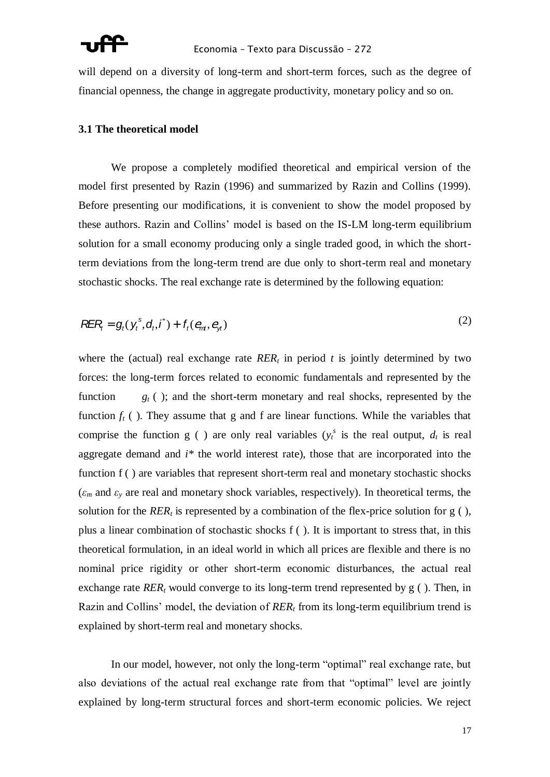will depend on a diversity of long-term and short-term forces, such as the degree of financial openness, the change in aggregate productivity, monetary policy and so on.

### **3.1 The theoretical model**

We propose a completely modified theoretical and empirical version of the model first presented by Razin (1996) and summarized by Razin and Collins (1999). Before presenting our modifications, it is convenient to show the model proposed by these authors. Razin and Collins' model is based on the IS-LM long-term equilibrium solution for a small economy producing only a single traded good, in which the shortterm deviations from the long-term trend are due only to short-term real and monetary stochastic shocks. The real exchange rate is determined by the following equation:

$$
R\mathsf{E} R_t = g_t(\mathsf{y}_t^s, \mathsf{d}_t, \mathsf{I}^*) + f_t(e_m, e_{\mathsf{y}_t})
$$
\n<sup>(2)</sup>

where the (actual) real exchange rate  $RER_t$  in period *t* is jointly determined by two forces: the long-term forces related to economic fundamentals and represented by the function  $g_t$  ( ); and the short-term monetary and real shocks, represented by the function  $f_t$  ( ). They assume that g and f are linear functions. While the variables that comprise the function g ( ) are only real variables  $(y_t^s)$  is the real output,  $d_t$  is real aggregate demand and *i\** the world interest rate), those that are incorporated into the function f () are variables that represent short-term real and monetary stochastic shocks  $(\varepsilon_m$  and  $\varepsilon_v$  are real and monetary shock variables, respectively). In theoretical terms, the solution for the  $RER<sub>t</sub>$  is represented by a combination of the flex-price solution for g (), plus a linear combination of stochastic shocks f ( ). It is important to stress that, in this theoretical formulation, in an ideal world in which all prices are flexible and there is no nominal price rigidity or other short-term economic disturbances, the actual real exchange rate  $RER_t$  would converge to its long-term trend represented by  $g$  (). Then, in Razin and Collins' model, the deviation of *RER<sup>t</sup>* from its long-term equilibrium trend is explained by short-term real and monetary shocks.

In our model, however, not only the long-term "optimal" real exchange rate, but also deviations of the actual real exchange rate from that "optimal" level are jointly explained by long-term structural forces and short-term economic policies. We reject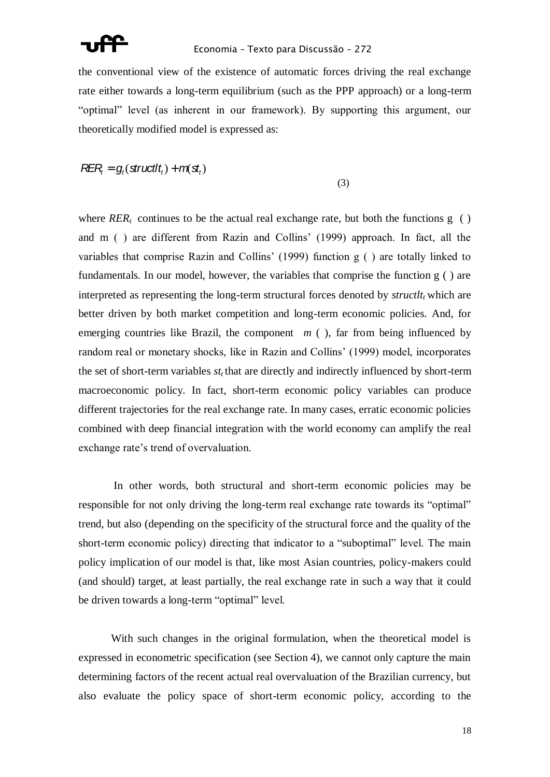

the conventional view of the existence of automatic forces driving the real exchange rate either towards a long-term equilibrium (such as the PPP approach) or a long-term "optimal" level (as inherent in our framework). By supporting this argument, our theoretically modified model is expressed as:

$$
R\!E\!R_i = g_i(\text{structlt}_t) + m(\textbf{s}t_t)
$$

(3)

where  $RER_t$  continues to be the actual real exchange rate, but both the functions  $g( )$ and m ( ) are different from Razin and Collins' (1999) approach. In fact, all the variables that comprise Razin and Collins' (1999) function g ( ) are totally linked to fundamentals. In our model, however, the variables that comprise the function g ( ) are interpreted as representing the long-term structural forces denoted by  $struct_{t}$  which are better driven by both market competition and long-term economic policies. And, for emerging countries like Brazil, the component  $m$  ( $\theta$ ), far from being influenced by random real or monetary shocks, like in Razin and Collins' (1999) model, incorporates the set of short-term variables  $st_t$  that are directly and indirectly influenced by short-term macroeconomic policy. In fact, short-term economic policy variables can produce different trajectories for the real exchange rate. In many cases, erratic economic policies combined with deep financial integration with the world economy can amplify the real exchange rate's trend of overvaluation.

In other words, both structural and short-term economic policies may be responsible for not only driving the long-term real exchange rate towards its "optimal" trend, but also (depending on the specificity of the structural force and the quality of the short-term economic policy) directing that indicator to a "suboptimal" level. The main policy implication of our model is that, like most Asian countries, policy-makers could (and should) target, at least partially, the real exchange rate in such a way that it could be driven towards a long-term "optimal" level.

With such changes in the original formulation, when the theoretical model is expressed in econometric specification (see Section 4), we cannot only capture the main determining factors of the recent actual real overvaluation of the Brazilian currency, but also evaluate the policy space of short-term economic policy, according to the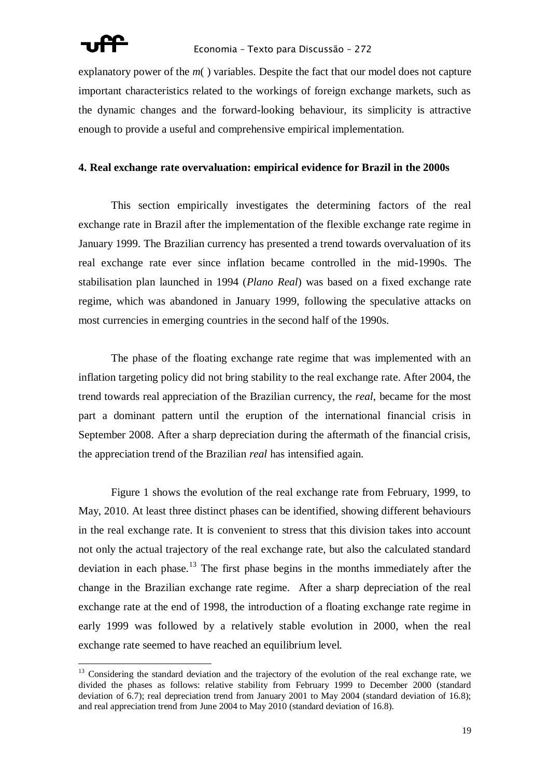explanatory power of the *m*( ) variables. Despite the fact that our model does not capture important characteristics related to the workings of foreign exchange markets, such as the dynamic changes and the forward-looking behaviour, its simplicity is attractive enough to provide a useful and comprehensive empirical implementation.

### **4. Real exchange rate overvaluation: empirical evidence for Brazil in the 2000s**

This section empirically investigates the determining factors of the real exchange rate in Brazil after the implementation of the flexible exchange rate regime in January 1999. The Brazilian currency has presented a trend towards overvaluation of its real exchange rate ever since inflation became controlled in the mid-1990s. The stabilisation plan launched in 1994 (*Plano Real*) was based on a fixed exchange rate regime, which was abandoned in January 1999, following the speculative attacks on most currencies in emerging countries in the second half of the 1990s.

The phase of the floating exchange rate regime that was implemented with an inflation targeting policy did not bring stability to the real exchange rate. After 2004, the trend towards real appreciation of the Brazilian currency, the *real*, became for the most part a dominant pattern until the eruption of the international financial crisis in September 2008. After a sharp depreciation during the aftermath of the financial crisis, the appreciation trend of the Brazilian *real* has intensified again.

Figure 1 shows the evolution of the real exchange rate from February, 1999, to May, 2010. At least three distinct phases can be identified, showing different behaviours in the real exchange rate. It is convenient to stress that this division takes into account not only the actual trajectory of the real exchange rate, but also the calculated standard deviation in each phase.<sup>13</sup> The first phase begins in the months immediately after the change in the Brazilian exchange rate regime. After a sharp depreciation of the real exchange rate at the end of 1998, the introduction of a floating exchange rate regime in early 1999 was followed by a relatively stable evolution in 2000, when the real exchange rate seemed to have reached an equilibrium level.

<sup>&</sup>lt;sup>13</sup> Considering the standard deviation and the trajectory of the evolution of the real exchange rate, we divided the phases as follows: relative stability from February 1999 to December 2000 (standard deviation of 6.7); real depreciation trend from January 2001 to May 2004 (standard deviation of 16.8); and real appreciation trend from June 2004 to May 2010 (standard deviation of 16.8).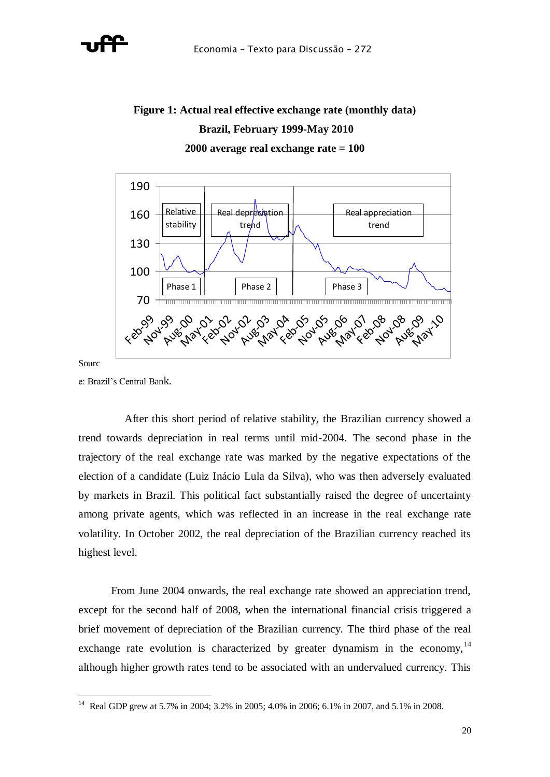

# **Figure 1: Actual real effective exchange rate (monthly data) Brazil, February 1999-May 2010 2000 average real exchange rate = 100**



Sourc

e: Brazil's Central Bank.

 After this short period of relative stability, the Brazilian currency showed a trend towards depreciation in real terms until mid-2004. The second phase in the trajectory of the real exchange rate was marked by the negative expectations of the election of a candidate (Luiz Inácio Lula da Silva), who was then adversely evaluated by markets in Brazil. This political fact substantially raised the degree of uncertainty among private agents, which was reflected in an increase in the real exchange rate volatility. In October 2002, the real depreciation of the Brazilian currency reached its highest level.

From June 2004 onwards, the real exchange rate showed an appreciation trend, except for the second half of 2008, when the international financial crisis triggered a brief movement of depreciation of the Brazilian currency. The third phase of the real exchange rate evolution is characterized by greater dynamism in the economy,  $14$ although higher growth rates tend to be associated with an undervalued currency. This

 14 Real GDP grew at 5.7% in 2004; 3.2% in 2005; 4.0% in 2006; 6.1% in 2007, and 5.1% in 2008.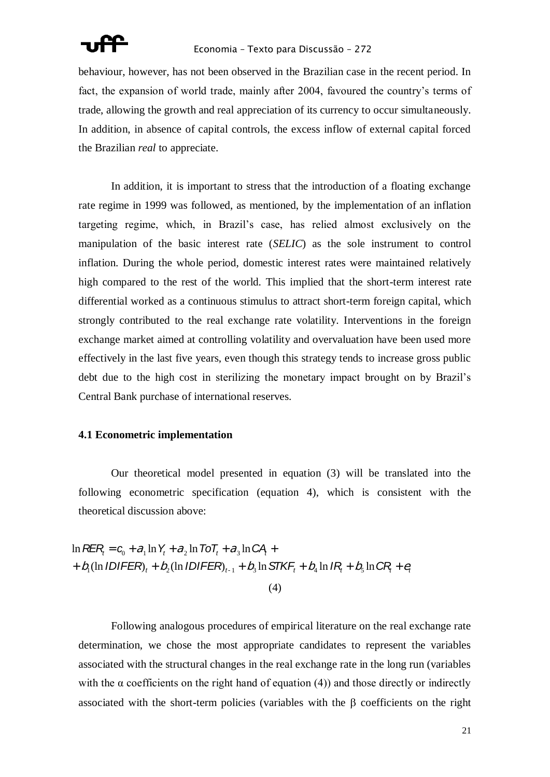

behaviour, however, has not been observed in the Brazilian case in the recent period. In fact, the expansion of world trade, mainly after 2004, favoured the country's terms of trade, allowing the growth and real appreciation of its currency to occur simultaneously. In addition, in absence of capital controls, the excess inflow of external capital forced the Brazilian *real* to appreciate.

In addition, it is important to stress that the introduction of a floating exchange rate regime in 1999 was followed, as mentioned, by the implementation of an inflation targeting regime, which, in Brazil's case, has relied almost exclusively on the manipulation of the basic interest rate (*SELIC*) as the sole instrument to control inflation. During the whole period, domestic interest rates were maintained relatively high compared to the rest of the world. This implied that the short-term interest rate differential worked as a continuous stimulus to attract short-term foreign capital, which strongly contributed to the real exchange rate volatility. Interventions in the foreign exchange market aimed at controlling volatility and overvaluation have been used more effectively in the last five years, even though this strategy tends to increase gross public debt due to the high cost in sterilizing the monetary impact brought on by Brazil's Central Bank purchase of international reserves.

### **4.1 Econometric implementation**

Our theoretical model presented in equation (3) will be translated into the following econometric specification (equation 4), which is consistent with the theoretical discussion above:

(4)  $t = c_0 + a_1 \ln Y_t + a_2 \ln 70T_t + a_3 \ln CA +$ <br> **IDIFER**<sub> $t$ </sub> +  $b_2$ (ln **IDIFER**)<sub> $t_{-1}$ </sub> +  $b_3 \ln$  STKF<sub>t</sub> +  $b_4 \ln IR_t + b_5 \ln CR_t + e_4$  $\int \ln R E R_i = C_0 + \partial_1 \ln Y_t + \partial_2 \ln T \sigma T_t + \partial_3 \ln C A_i + \int$ +  $b_1$ (ln *IDIFER*)<sub>t</sub> +  $b_2$ (ln *IDIFER*)<sub>t-1</sub> +  $b_3$  ln STKF<sub>t</sub> +  $b_4$  ln *IR*<sub>t</sub> +  $b_5$  ln CR<sub>t</sub> +  $e_t$ 

Following analogous procedures of empirical literature on the real exchange rate determination, we chose the most appropriate candidates to represent the variables associated with the structural changes in the real exchange rate in the long run (variables with the  $\alpha$  coefficients on the right hand of equation (4)) and those directly or indirectly associated with the short-term policies (variables with the  $\beta$  coefficients on the right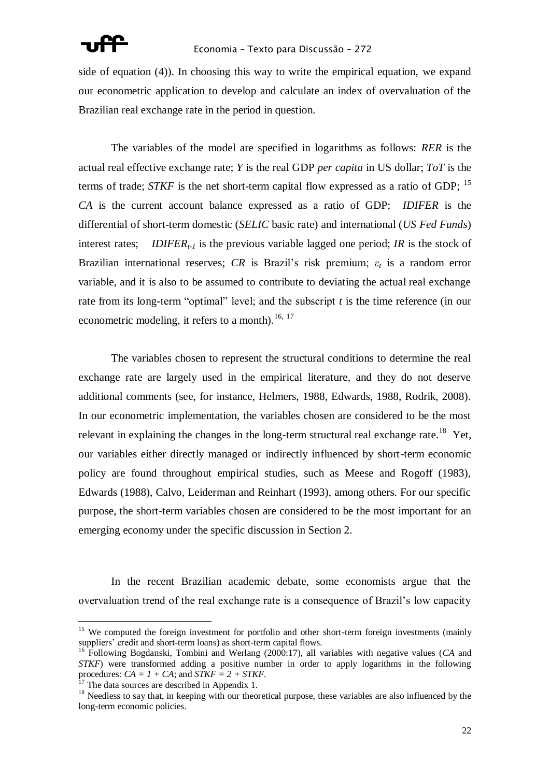side of equation (4)). In choosing this way to write the empirical equation, we expand our econometric application to develop and calculate an index of overvaluation of the Brazilian real exchange rate in the period in question.

The variables of the model are specified in logarithms as follows: *RER* is the actual real effective exchange rate; *Y* is the real GDP *per capita* in US dollar; *ToT* is the terms of trade; *STKF* is the net short-term capital flow expressed as a ratio of GDP; <sup>15</sup> *CA* is the current account balance expressed as a ratio of GDP; *IDIFER* is the differential of short-term domestic (*SELIC* basic rate) and international (*US Fed Funds*) interest rates; *IDIFERt-1* is the previous variable lagged one period; *IR* is the stock of Brazilian international reserves; *CR* is Brazil's risk premium;  $\varepsilon_t$  is a random error variable, and it is also to be assumed to contribute to deviating the actual real exchange rate from its long-term "optimal" level; and the subscript  $t$  is the time reference (in our econometric modeling, it refers to a month).<sup>16, 17</sup>

The variables chosen to represent the structural conditions to determine the real exchange rate are largely used in the empirical literature, and they do not deserve additional comments (see, for instance, Helmers, 1988, Edwards, 1988, Rodrik, 2008). In our econometric implementation, the variables chosen are considered to be the most relevant in explaining the changes in the long-term structural real exchange rate.<sup>18</sup> Yet, our variables either directly managed or indirectly influenced by short-term economic policy are found throughout empirical studies, such as Meese and Rogoff (1983), Edwards (1988), Calvo, Leiderman and Reinhart (1993), among others. For our specific purpose, the short-term variables chosen are considered to be the most important for an emerging economy under the specific discussion in Section 2.

In the recent Brazilian academic debate, some economists argue that the overvaluation trend of the real exchange rate is a consequence of Brazil's low capacity

 $\overline{a}$ <sup>15</sup> We computed the foreign investment for portfolio and other short-term foreign investments (mainly suppliers' credit and short-term loans) as short-term capital flows.

<sup>16</sup> Following Bogdanski, Tombini and Werlang (2000:17), all variables with negative values (*CA* and *STKF*) were transformed adding a positive number in order to apply logarithms in the following procedures:  $CA = I + CA$ ; and  $STKF = 2 + STKF$ .

<sup>17</sup> The data sources are described in Appendix 1.

<sup>&</sup>lt;sup>18</sup> Needless to say that, in keeping with our theoretical purpose, these variables are also influenced by the long-term economic policies.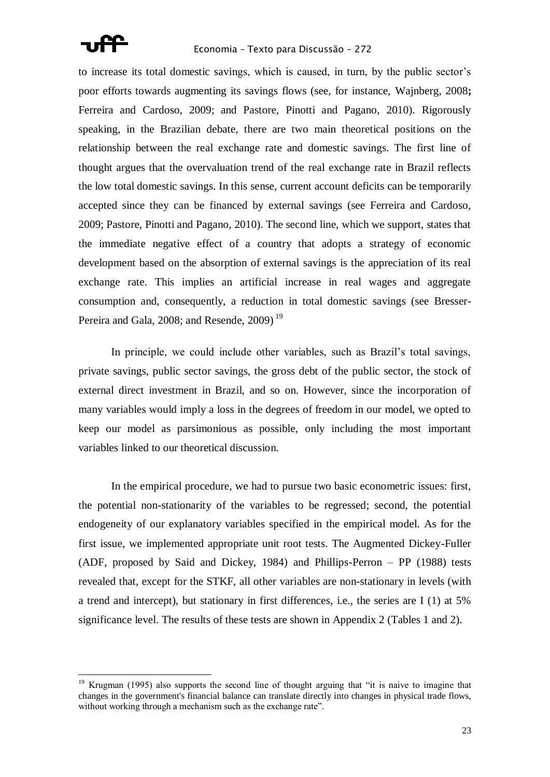

to increase its total domestic savings, which is caused, in turn, by the public sector's poor efforts towards augmenting its savings flows (see, for instance, Wajnberg, 2008**;** Ferreira and Cardoso, 2009; and Pastore, Pinotti and Pagano, 2010). Rigorously speaking, in the Brazilian debate, there are two main theoretical positions on the relationship between the real exchange rate and domestic savings. The first line of thought argues that the overvaluation trend of the real exchange rate in Brazil reflects the low total domestic savings. In this sense, current account deficits can be temporarily accepted since they can be financed by external savings (see Ferreira and Cardoso, 2009; Pastore, Pinotti and Pagano, 2010). The second line, which we support, states that the immediate negative effect of a country that adopts a strategy of economic development based on the absorption of external savings is the appreciation of its real exchange rate. This implies an artificial increase in real wages and aggregate consumption and, consequently, a reduction in total domestic savings (see Bresser-Pereira and Gala, 2008; and Resende, 2009)<sup>19</sup>

In principle, we could include other variables, such as Brazil's total savings, private savings, public sector savings, the gross debt of the public sector, the stock of external direct investment in Brazil, and so on. However, since the incorporation of many variables would imply a loss in the degrees of freedom in our model, we opted to keep our model as parsimonious as possible, only including the most important variables linked to our theoretical discussion.

In the empirical procedure, we had to pursue two basic econometric issues: first, the potential non-stationarity of the variables to be regressed; second, the potential endogeneity of our explanatory variables specified in the empirical model. As for the first issue, we implemented appropriate unit root tests. The Augmented Dickey-Fuller (ADF, proposed by Said and Dickey, 1984) and Phillips-Perron – PP (1988) tests revealed that, except for the STKF, all other variables are non-stationary in levels (with a trend and intercept), but stationary in first differences, i.e., the series are I (1) at 5% significance level. The results of these tests are shown in Appendix 2 (Tables 1 and 2).

Krugman (1995) also supports the second line of thought arguing that "it is naive to imagine that changes in the government's financial balance can translate directly into changes in physical trade flows, without working through a mechanism such as the exchange rate".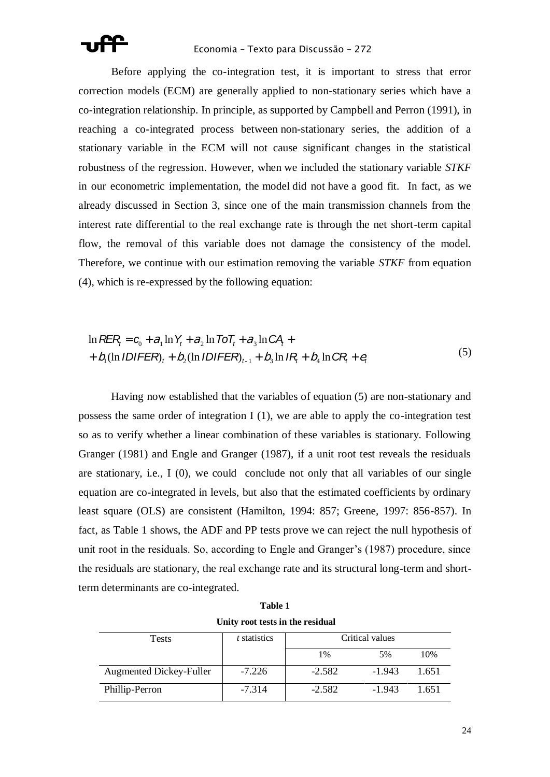

Before applying the co-integration test, it is important to stress that error correction models (ECM) are generally applied to non-stationary series which have a co-integration relationship. In principle, as supported by Campbell and Perron (1991), in reaching a co-integrated process between non-stationary series, the addition of a stationary variable in the ECM will not cause significant changes in the statistical robustness of the regression. However, when we included the stationary variable *STKF* in our econometric implementation, the model did not have a good fit. In fact, as we already discussed in Section 3, since one of the main transmission channels from the interest rate differential to the real exchange rate is through the net short-term capital flow, the removal of this variable does not damage the consistency of the model. Therefore, we continue with our estimation removing the variable *STKF* from equation (4), which is re-expressed by the following equation:

$$
\ln \text{REF}_{t} = c_{0} + a_{1} \ln Y_{t} + a_{2} \ln \text{IoT}_{t} + a_{3} \ln \text{CA} + b_{1} (\ln IDIFER)_{t} + b_{2} (\ln IDIFER)_{t-1} + b_{3} \ln IR + b_{4} \ln CR + e_{t}
$$
\n(5)

Having now established that the variables of equation (5) are non-stationary and possess the same order of integration I (1), we are able to apply the co-integration test so as to verify whether a linear combination of these variables is stationary. Following Granger (1981) and Engle and Granger (1987), if a unit root test reveals the residuals are stationary, i.e., I (0), we could conclude not only that all variables of our single equation are co-integrated in levels, but also that the estimated coefficients by ordinary least square (OLS) are consistent (Hamilton, 1994: 857; Greene, 1997: 856-857). In fact, as Table 1 shows, the ADF and PP tests prove we can reject the null hypothesis of unit root in the residuals. So, according to Engle and Granger's (1987) procedure, since the residuals are stationary, the real exchange rate and its structural long-term and shortterm determinants are co-integrated.

| Unity root tests in the residual |                     |                 |          |       |  |
|----------------------------------|---------------------|-----------------|----------|-------|--|
| Tests                            | <i>t</i> statistics | Critical values |          |       |  |
|                                  |                     | 1%              | 5%       | 10%   |  |
| <b>Augmented Dickey-Fuller</b>   | $-7.226$            | $-2.582$        | $-1.943$ | 1.651 |  |
| Phillip-Perron                   | $-7.314$            | $-2.582$        | $-1.943$ | 1.651 |  |

**Table 1**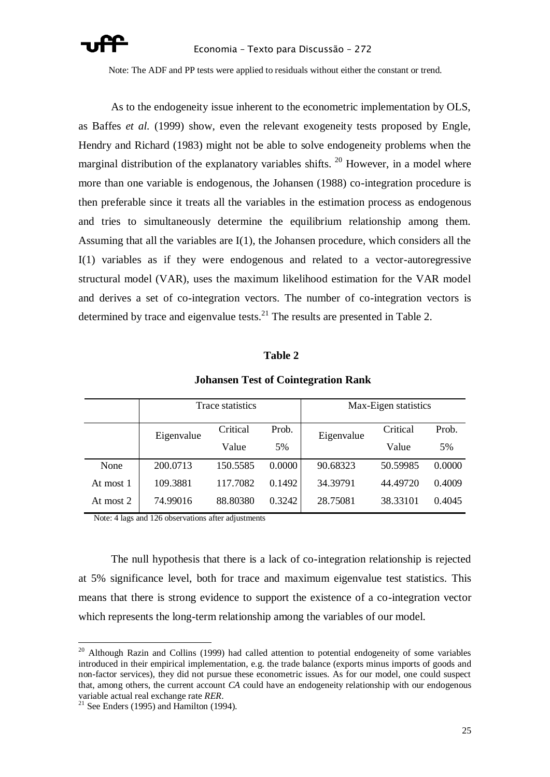

Note: The ADF and PP tests were applied to residuals without either the constant or trend.

As to the endogeneity issue inherent to the econometric implementation by OLS, as Baffes *et al.* (1999) show, even the relevant exogeneity tests proposed by Engle, Hendry and Richard (1983) might not be able to solve endogeneity problems when the marginal distribution of the explanatory variables shifts.  $^{20}$  However, in a model where more than one variable is endogenous, the Johansen (1988) co-integration procedure is then preferable since it treats all the variables in the estimation process as endogenous and tries to simultaneously determine the equilibrium relationship among them. Assuming that all the variables are I(1), the Johansen procedure, which considers all the I(1) variables as if they were endogenous and related to a vector-autoregressive structural model (VAR), uses the maximum likelihood estimation for the VAR model and derives a set of co-integration vectors. The number of co-integration vectors is determined by trace and eigenvalue tests.<sup>21</sup> The results are presented in Table 2.

### **Table 2**

|           | Trace statistics |          | Max-Eigen statistics |                                 |          |        |
|-----------|------------------|----------|----------------------|---------------------------------|----------|--------|
|           | Eigenvalue       | Critical | Prob.                | Critical<br>Eigenvalue<br>Value | Prob.    |        |
|           |                  | Value    | 5%                   |                                 |          | 5%     |
| None      | 200.0713         | 150.5585 | 0.0000               | 90.68323                        | 50.59985 | 0.0000 |
| At most 1 | 109.3881         | 117.7082 | 0.1492               | 34.39791                        | 44.49720 | 0.4009 |
| At most 2 | 74.99016         | 88.80380 | 0.3242               | 28.75081                        | 38.33101 | 0.4045 |

### **Johansen Test of Cointegration Rank**

Note: 4 lags and 126 observations after adjustments

The null hypothesis that there is a lack of co-integration relationship is rejected at 5% significance level, both for trace and maximum eigenvalue test statistics. This means that there is strong evidence to support the existence of a co-integration vector which represents the long-term relationship among the variables of our model.

 $\overline{a}$ 

 $20$  Although Razin and Collins (1999) had called attention to potential endogeneity of some variables introduced in their empirical implementation, e.g. the trade balance (exports minus imports of goods and non-factor services), they did not pursue these econometric issues. As for our model, one could suspect that, among others, the current account *CA* could have an endogeneity relationship with our endogenous variable actual real exchange rate *RER*.

<sup>&</sup>lt;sup>21</sup> See Enders (1995) and Hamilton (1994).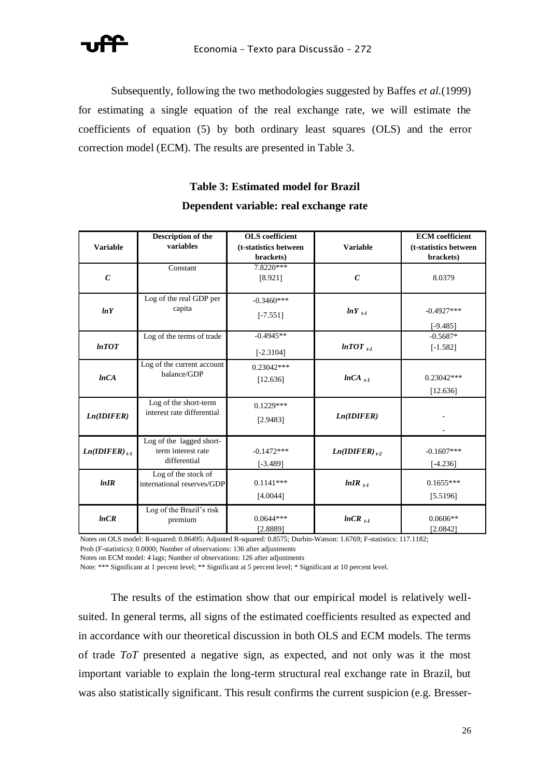

Subsequently, following the two methodologies suggested by Baffes *et al.*(1999) for estimating a single equation of the real exchange rate, we will estimate the coefficients of equation (5) by both ordinary least squares (OLS) and the error correction model (ECM). The results are presented in Table 3.

### **Table 3: Estimated model for Brazil**

|                             | Description of the                  | <b>OLS</b> coefficient |                        | <b>ECM</b> coefficient |
|-----------------------------|-------------------------------------|------------------------|------------------------|------------------------|
| <b>Variable</b>             | variables                           | (t-statistics between  | <b>Variable</b>        | (t-statistics between  |
|                             |                                     | brackets)              |                        | brackets)              |
|                             | Constant                            | 7.8220***              |                        |                        |
| $\mathcal{C}_{0}$           |                                     | [8.921]                | $\mathcal{C}$          | 8.0379                 |
|                             |                                     |                        |                        |                        |
|                             | Log of the real GDP per             | $-0.3460***$           |                        |                        |
| lnY                         | capita                              | $[-7.551]$             | $lnY_{t-1}$            | $-0.4927***$           |
|                             |                                     |                        |                        | $[-9.485]$             |
|                             | Log of the terms of trade           | $-0.4945**$            |                        | $-0.5687*$             |
| lnTOT                       |                                     |                        | $lnTOT$ <sub>t-1</sub> | $[-1.582]$             |
|                             |                                     | $[-2.3104]$            |                        |                        |
|                             | Log of the current account          | $0.23042***$           |                        |                        |
| lnCA                        | balance/GDP                         | [12.636]               | $lnCA$ <sub>t-1</sub>  | $0.23042***$           |
|                             |                                     |                        |                        | [12.636]               |
|                             | Log of the short-term               | $0.1229***$            |                        |                        |
| Ln(IDIFER)                  | interest rate differential          |                        | Ln(IDIFER)             |                        |
|                             |                                     | [2.9483]               |                        |                        |
|                             | Log of the lagged short-            |                        |                        |                        |
| $Ln(IDIFER)$ <sub>t-1</sub> | term interest rate                  | $-0.1472***$           | $Ln(IDIFER)$ ,         | $-0.1607***$           |
|                             | differential                        |                        |                        |                        |
|                             | Log of the stock of                 | $[-3.489]$             |                        | $[-4.236]$             |
| lnIR                        | international reserves/GDP          | $0.1141***$            | $lnIR$ <sub>t-1</sub>  | $0.1655***$            |
|                             |                                     | [4.0044]               |                        | [5.5196]               |
|                             |                                     |                        |                        |                        |
| lnCR                        | Log of the Brazil's risk<br>premium | $0.0644***$            | $lnCR$ <sub>t-1</sub>  | $0.0606**$             |
|                             |                                     | [2.8889]               |                        | [2.0842]               |

### **Dependent variable: real exchange rate**

Notes on OLS model: R-squared: 0.86495; Adjusted R-squared: 0.8575; Durbin-Watson: 1.6769; F-statistics: 117.1182; Prob (F-statistics): 0.0000; Number of observations: 136 after adjustments

Notes on ECM model: 4 lags; Number of observations: 126 after adjustments

Note: \*\*\* Significant at 1 percent level; \*\* Significant at 5 percent level; \* Significant at 10 percent level.

The results of the estimation show that our empirical model is relatively wellsuited. In general terms, all signs of the estimated coefficients resulted as expected and in accordance with our theoretical discussion in both OLS and ECM models. The terms of trade *ToT* presented a negative sign, as expected, and not only was it the most important variable to explain the long-term structural real exchange rate in Brazil, but was also statistically significant. This result confirms the current suspicion (e.g. Bresser-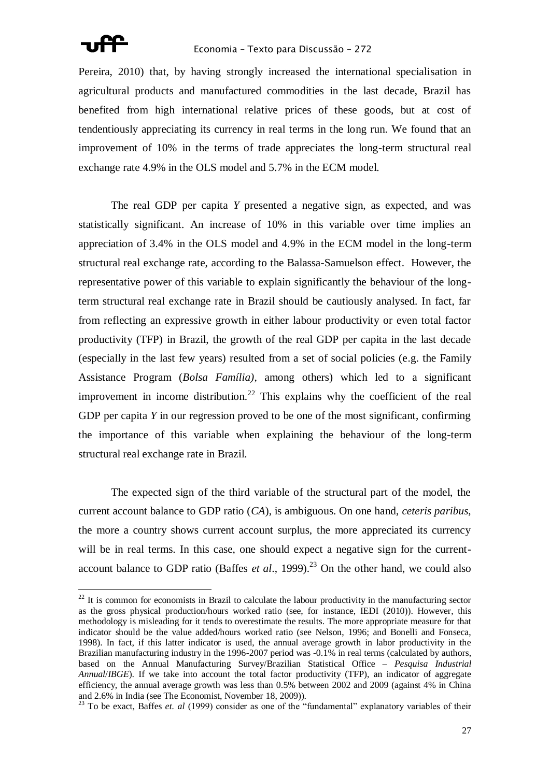

Pereira, 2010) that, by having strongly increased the international specialisation in agricultural products and manufactured commodities in the last decade, Brazil has benefited from high international relative prices of these goods, but at cost of tendentiously appreciating its currency in real terms in the long run. We found that an improvement of 10% in the terms of trade appreciates the long-term structural real exchange rate 4.9% in the OLS model and 5.7% in the ECM model.

The real GDP per capita *Y* presented a negative sign, as expected, and was statistically significant. An increase of 10% in this variable over time implies an appreciation of 3.4% in the OLS model and 4.9% in the ECM model in the long-term structural real exchange rate, according to the Balassa-Samuelson effect. However, the representative power of this variable to explain significantly the behaviour of the longterm structural real exchange rate in Brazil should be cautiously analysed. In fact, far from reflecting an expressive growth in either labour productivity or even total factor productivity (TFP) in Brazil, the growth of the real GDP per capita in the last decade (especially in the last few years) resulted from a set of social policies (e.g. the Family Assistance Program (*Bolsa Família)*, among others) which led to a significant improvement in income distribution.<sup>22</sup> This explains why the coefficient of the real GDP per capita *Y* in our regression proved to be one of the most significant, confirming the importance of this variable when explaining the behaviour of the long-term structural real exchange rate in Brazil.

The expected sign of the third variable of the structural part of the model, the current account balance to GDP ratio (*CA*), is ambiguous. On one hand, *ceteris paribus*, the more a country shows current account surplus, the more appreciated its currency will be in real terms. In this case, one should expect a negative sign for the currentaccount balance to GDP ratio (Baffes *et al.*, 1999).<sup>23</sup> On the other hand, we could also

 $22$  It is common for economists in Brazil to calculate the labour productivity in the manufacturing sector as the gross physical production/hours worked ratio (see, for instance, IEDI (2010)). However, this methodology is misleading for it tends to overestimate the results. The more appropriate measure for that indicator should be the value added/hours worked ratio (see Nelson, 1996; and Bonelli and Fonseca, 1998). In fact, if this latter indicator is used, the annual average growth in labor productivity in the Brazilian manufacturing industry in the 1996-2007 period was -0.1% in real terms (calculated by authors, based on the Annual Manufacturing Survey/Brazilian Statistical Office – *Pesquisa Industrial Annual/IBGE*). If we take into account the total factor productivity (TFP), an indicator of aggregate efficiency, the annual average growth was less than 0.5% between 2002 and 2009 (against 4% in China and 2.6% in India (see The Economist, November 18, 2009)).

<sup>&</sup>lt;sup>23</sup> To be exact, Baffes *et. al* (1999) consider as one of the "fundamental" explanatory variables of their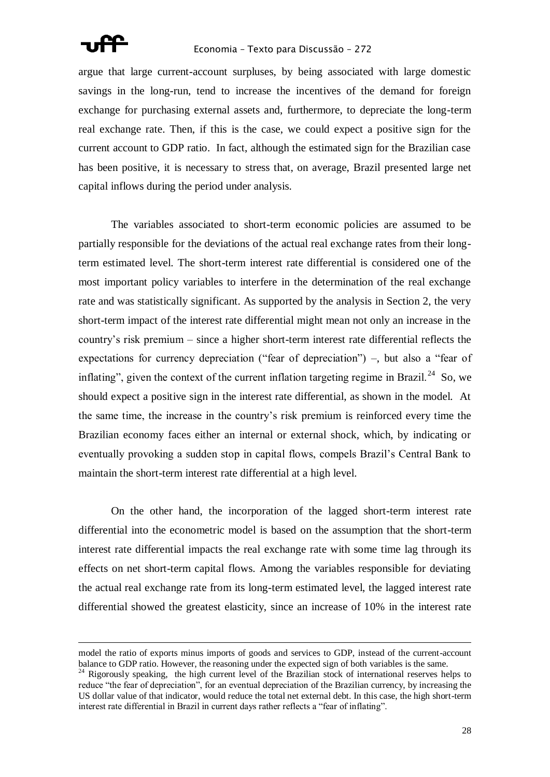

1

argue that large current-account surpluses, by being associated with large domestic savings in the long-run, tend to increase the incentives of the demand for foreign exchange for purchasing external assets and, furthermore, to depreciate the long-term real exchange rate. Then, if this is the case, we could expect a positive sign for the current account to GDP ratio. In fact, although the estimated sign for the Brazilian case has been positive, it is necessary to stress that, on average, Brazil presented large net capital inflows during the period under analysis.

The variables associated to short-term economic policies are assumed to be partially responsible for the deviations of the actual real exchange rates from their longterm estimated level. The short-term interest rate differential is considered one of the most important policy variables to interfere in the determination of the real exchange rate and was statistically significant. As supported by the analysis in Section 2, the very short-term impact of the interest rate differential might mean not only an increase in the country's risk premium – since a higher short-term interest rate differential reflects the expectations for currency depreciation ("fear of depreciation") –, but also a "fear of inflating", given the context of the current inflation targeting regime in Brazil.<sup>24</sup> So, we should expect a positive sign in the interest rate differential, as shown in the model. At the same time, the increase in the country's risk premium is reinforced every time the Brazilian economy faces either an internal or external shock, which, by indicating or eventually provoking a sudden stop in capital flows, compels Brazil's Central Bank to maintain the short-term interest rate differential at a high level.

On the other hand, the incorporation of the lagged short-term interest rate differential into the econometric model is based on the assumption that the short-term interest rate differential impacts the real exchange rate with some time lag through its effects on net short-term capital flows. Among the variables responsible for deviating the actual real exchange rate from its long-term estimated level, the lagged interest rate differential showed the greatest elasticity, since an increase of 10% in the interest rate

model the ratio of exports minus imports of goods and services to GDP, instead of the current-account balance to GDP ratio. However, the reasoning under the expected sign of both variables is the same.

<sup>&</sup>lt;sup>24</sup> Rigorously speaking, the high current level of the Brazilian stock of international reserves helps to reduce "the fear of depreciation", for an eventual depreciation of the Brazilian currency, by increasing the US dollar value of that indicator, would reduce the total net external debt. In this case, the high short-term interest rate differential in Brazil in current days rather reflects a "fear of inflating".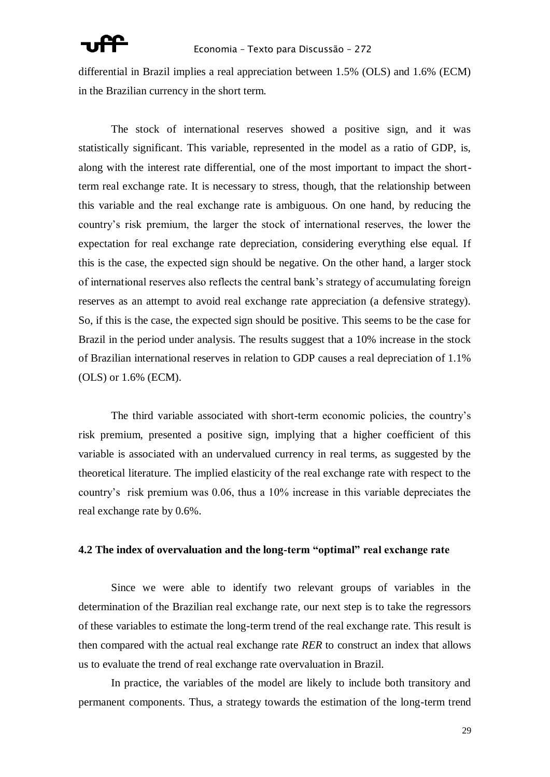differential in Brazil implies a real appreciation between 1.5% (OLS) and 1.6% (ECM) in the Brazilian currency in the short term.

The stock of international reserves showed a positive sign, and it was statistically significant. This variable, represented in the model as a ratio of GDP, is, along with the interest rate differential, one of the most important to impact the shortterm real exchange rate. It is necessary to stress, though, that the relationship between this variable and the real exchange rate is ambiguous. On one hand, by reducing the country's risk premium, the larger the stock of international reserves, the lower the expectation for real exchange rate depreciation, considering everything else equal. If this is the case, the expected sign should be negative. On the other hand, a larger stock of international reserves also reflects the central bank's strategy of accumulating foreign reserves as an attempt to avoid real exchange rate appreciation (a defensive strategy). So, if this is the case, the expected sign should be positive. This seems to be the case for Brazil in the period under analysis. The results suggest that a 10% increase in the stock of Brazilian international reserves in relation to GDP causes a real depreciation of 1.1% (OLS) or 1.6% (ECM).

The third variable associated with short-term economic policies, the country's risk premium, presented a positive sign, implying that a higher coefficient of this variable is associated with an undervalued currency in real terms, as suggested by the theoretical literature. The implied elasticity of the real exchange rate with respect to the country's risk premium was 0.06, thus a 10% increase in this variable depreciates the real exchange rate by 0.6%.

### **4.2 The index of overvaluation and the long-term "optimal" real exchange rate**

Since we were able to identify two relevant groups of variables in the determination of the Brazilian real exchange rate, our next step is to take the regressors of these variables to estimate the long-term trend of the real exchange rate. This result is then compared with the actual real exchange rate *RER* to construct an index that allows us to evaluate the trend of real exchange rate overvaluation in Brazil.

In practice, the variables of the model are likely to include both transitory and permanent components. Thus, a strategy towards the estimation of the long-term trend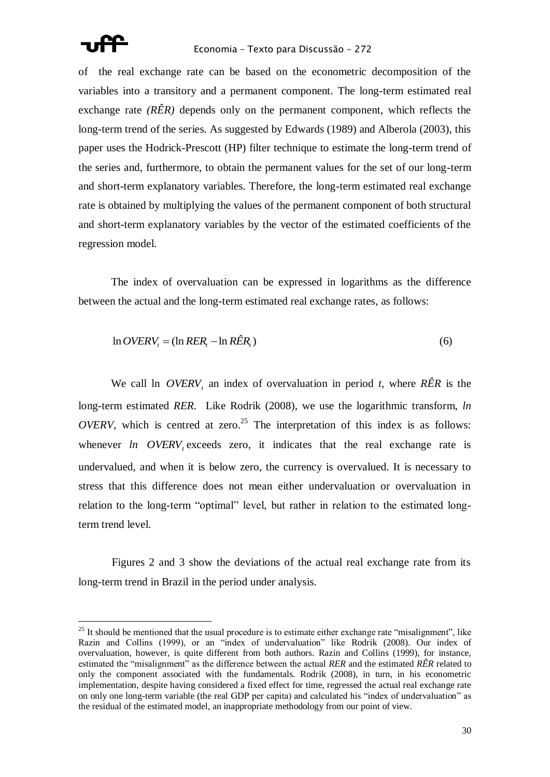of the real exchange rate can be based on the econometric decomposition of the variables into a transitory and a permanent component. The long-term estimated real exchange rate *(RÊR)* depends only on the permanent component, which reflects the long-term trend of the series. As suggested by Edwards (1989) and Alberola (2003), this paper uses the Hodrick-Prescott (HP) filter technique to estimate the long-term trend of the series and, furthermore, to obtain the permanent values for the set of our long-term and short-term explanatory variables. Therefore, the long-term estimated real exchange rate is obtained by multiplying the values of the permanent component of both structural and short-term explanatory variables by the vector of the estimated coefficients of the regression model.

The index of overvaluation can be expressed in logarithms as the difference between the actual and the long-term estimated real exchange rates, as follows:

$$
\ln OVERV_t = (\ln RER_t - \ln R\hat{ER}_t)
$$
\n(6)

We call ln  $OVERV<sub>t</sub>$  an index of overvaluation in period *t*, where  $R\hat{E}R$  is the long-term estimated *RER.* Like Rodrik (2008), we use the logarithmic transform, *ln OVERV*, which is centred at zero.<sup>25</sup> The interpretation of this index is as follows: whenever  $ln$  OVERV<sub>t</sub> exceeds zero, it indicates that the real exchange rate is undervalued, and when it is below zero, the currency is overvalued. It is necessary to stress that this difference does not mean either undervaluation or overvaluation in relation to the long-term "optimal" level, but rather in relation to the estimated longterm trend level.

Figures 2 and 3 show the deviations of the actual real exchange rate from its long-term trend in Brazil in the period under analysis.

 $25$  It should be mentioned that the usual procedure is to estimate either exchange rate "misalignment", like Razin and Collins (1999), or an "index of undervaluation" like Rodrik (2008). Our index of overvaluation, however, is quite different from both authors. Razin and Collins (1999), for instance, estimated the "misalignment" as the difference between the actual *RER* and the estimated *RÊR* related to only the component associated with the fundamentals. Rodrik (2008), in turn, in his econometric implementation, despite having considered a fixed effect for time, regressed the actual real exchange rate on only one long-term variable (the real GDP per capita) and calculated his "index of undervaluation" as the residual of the estimated model, an inappropriate methodology from our point of view.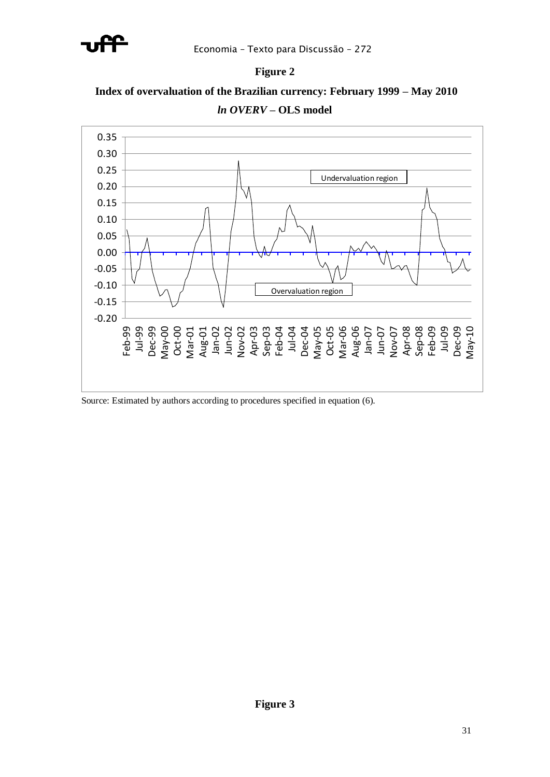







Source: Estimated by authors according to procedures specified in equation (6).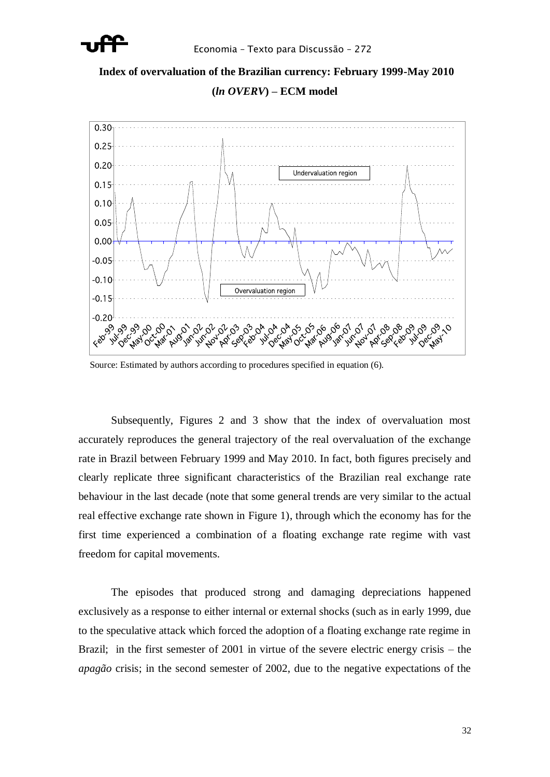

# **Index of overvaluation of the Brazilian currency: February 1999-May 2010 (***ln OVERV***) – ECM model**



Source: Estimated by authors according to procedures specified in equation (6).

Subsequently, Figures 2 and 3 show that the index of overvaluation most accurately reproduces the general trajectory of the real overvaluation of the exchange rate in Brazil between February 1999 and May 2010. In fact, both figures precisely and clearly replicate three significant characteristics of the Brazilian real exchange rate behaviour in the last decade (note that some general trends are very similar to the actual real effective exchange rate shown in Figure 1), through which the economy has for the first time experienced a combination of a floating exchange rate regime with vast freedom for capital movements.

The episodes that produced strong and damaging depreciations happened exclusively as a response to either internal or external shocks (such as in early 1999, due to the speculative attack which forced the adoption of a floating exchange rate regime in Brazil; in the first semester of 2001 in virtue of the severe electric energy crisis – the *apagão* crisis; in the second semester of 2002, due to the negative expectations of the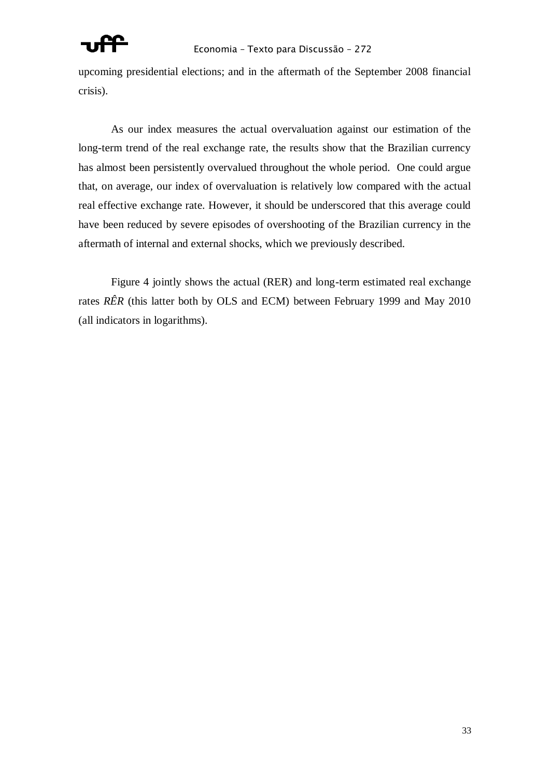

upcoming presidential elections; and in the aftermath of the September 2008 financial crisis).

As our index measures the actual overvaluation against our estimation of the long-term trend of the real exchange rate, the results show that the Brazilian currency has almost been persistently overvalued throughout the whole period. One could argue that, on average, our index of overvaluation is relatively low compared with the actual real effective exchange rate. However, it should be underscored that this average could have been reduced by severe episodes of overshooting of the Brazilian currency in the aftermath of internal and external shocks, which we previously described.

Figure 4 jointly shows the actual (RER) and long-term estimated real exchange rates *RÊR* (this latter both by OLS and ECM) between February 1999 and May 2010 (all indicators in logarithms).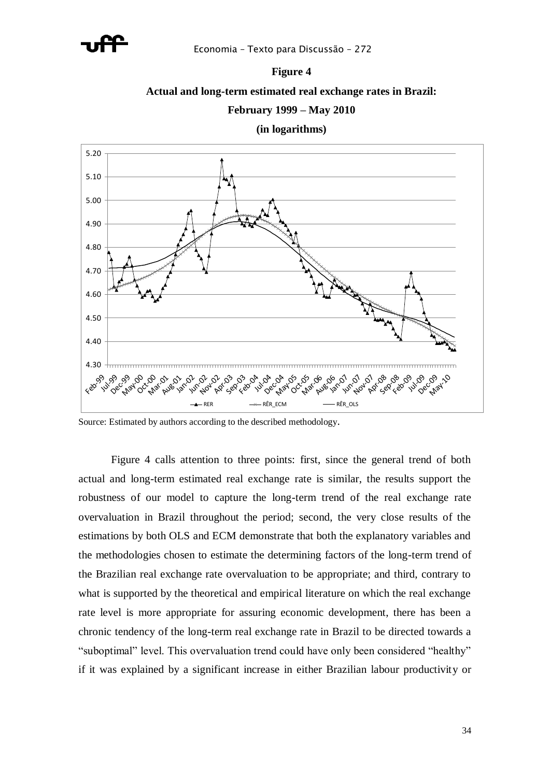

### **Figure 4**

### **Actual and long-term estimated real exchange rates in Brazil:**

### **February 1999 – May 2010**

**(in logarithms)**



Source: Estimated by authors according to the described methodology.

Figure 4 calls attention to three points: first, since the general trend of both actual and long-term estimated real exchange rate is similar, the results support the robustness of our model to capture the long-term trend of the real exchange rate overvaluation in Brazil throughout the period; second, the very close results of the estimations by both OLS and ECM demonstrate that both the explanatory variables and the methodologies chosen to estimate the determining factors of the long-term trend of the Brazilian real exchange rate overvaluation to be appropriate; and third, contrary to what is supported by the theoretical and empirical literature on which the real exchange rate level is more appropriate for assuring economic development, there has been a chronic tendency of the long-term real exchange rate in Brazil to be directed towards a "suboptimal" level. This overvaluation trend could have only been considered "healthy" if it was explained by a significant increase in either Brazilian labour productivity or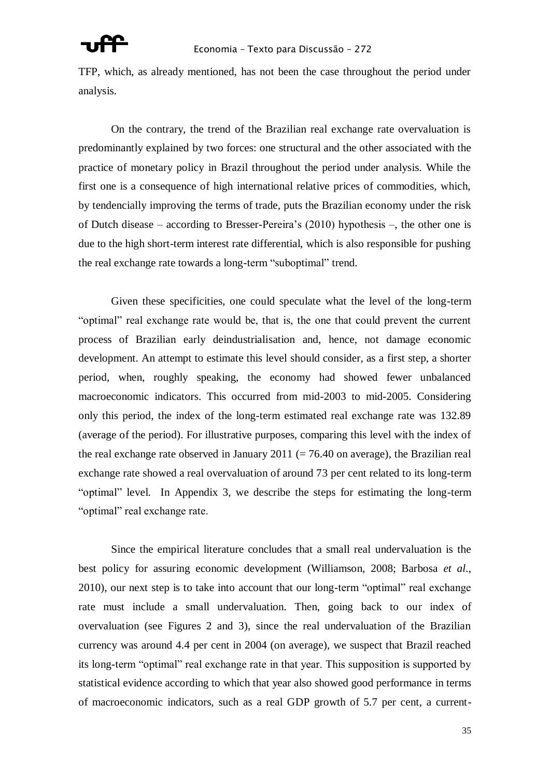TFP, which, as already mentioned, has not been the case throughout the period under analysis.

On the contrary, the trend of the Brazilian real exchange rate overvaluation is predominantly explained by two forces: one structural and the other associated with the practice of monetary policy in Brazil throughout the period under analysis. While the first one is a consequence of high international relative prices of commodities, which, by tendencially improving the terms of trade, puts the Brazilian economy under the risk of Dutch disease – according to Bresser-Pereira's (2010) hypothesis –, the other one is due to the high short-term interest rate differential, which is also responsible for pushing the real exchange rate towards a long-term "suboptimal" trend.

Given these specificities, one could speculate what the level of the long-term "optimal" real exchange rate would be, that is, the one that could prevent the current process of Brazilian early deindustrialisation and, hence, not damage economic development. An attempt to estimate this level should consider, as a first step, a shorter period, when, roughly speaking, the economy had showed fewer unbalanced macroeconomic indicators. This occurred from mid-2003 to mid-2005. Considering only this period, the index of the long-term estimated real exchange rate was 132.89 (average of the period). For illustrative purposes, comparing this level with the index of the real exchange rate observed in January 2011 ( $= 76.40$  on average), the Brazilian real exchange rate showed a real overvaluation of around 73 per cent related to its long-term "optimal" level. In Appendix 3, we describe the steps for estimating the long-term "optimal" real exchange rate.

Since the empirical literature concludes that a small real undervaluation is the best policy for assuring economic development (Williamson, 2008; Barbosa *et al*., 2010), our next step is to take into account that our long-term "optimal" real exchange rate must include a small undervaluation. Then, going back to our index of overvaluation (see Figures 2 and 3), since the real undervaluation of the Brazilian currency was around 4.4 per cent in 2004 (on average), we suspect that Brazil reached its long-term "optimal" real exchange rate in that year. This supposition is supported by statistical evidence according to which that year also showed good performance in terms of macroeconomic indicators, such as a real GDP growth of 5.7 per cent, a current-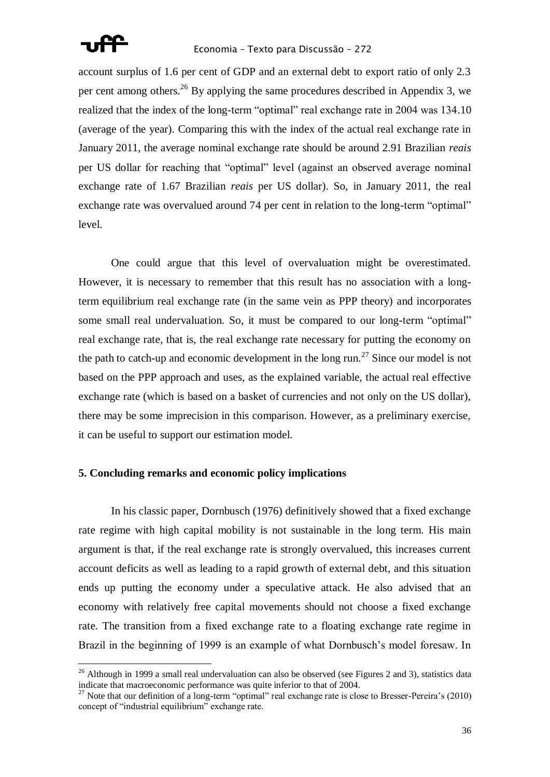

account surplus of 1.6 per cent of GDP and an external debt to export ratio of only 2.3 per cent among others.<sup>26</sup> By applying the same procedures described in Appendix 3, we realized that the index of the long-term "optimal" real exchange rate in 2004 was 134.10 (average of the year). Comparing this with the index of the actual real exchange rate in January 2011, the average nominal exchange rate should be around 2.91 Brazilian *reais* per US dollar for reaching that "optimal" level (against an observed average nominal exchange rate of 1.67 Brazilian *reais* per US dollar). So, in January 2011, the real exchange rate was overvalued around 74 per cent in relation to the long-term "optimal" level.

One could argue that this level of overvaluation might be overestimated. However, it is necessary to remember that this result has no association with a longterm equilibrium real exchange rate (in the same vein as PPP theory) and incorporates some small real undervaluation. So, it must be compared to our long-term "optimal" real exchange rate, that is, the real exchange rate necessary for putting the economy on the path to catch-up and economic development in the long run.<sup>27</sup> Since our model is not based on the PPP approach and uses, as the explained variable, the actual real effective exchange rate (which is based on a basket of currencies and not only on the US dollar), there may be some imprecision in this comparison. However, as a preliminary exercise, it can be useful to support our estimation model.

### **5. Concluding remarks and economic policy implications**

In his classic paper, Dornbusch (1976) definitively showed that a fixed exchange rate regime with high capital mobility is not sustainable in the long term. His main argument is that, if the real exchange rate is strongly overvalued, this increases current account deficits as well as leading to a rapid growth of external debt, and this situation ends up putting the economy under a speculative attack. He also advised that an economy with relatively free capital movements should not choose a fixed exchange rate. The transition from a fixed exchange rate to a floating exchange rate regime in Brazil in the beginning of 1999 is an example of what Dornbusch's model foresaw. In

 $26$  Although in 1999 a small real undervaluation can also be observed (see Figures 2 and 3), statistics data indicate that macroeconomic performance was quite inferior to that of 2004.

<sup>&</sup>lt;sup>27</sup> Note that our definition of a long-term "optimal" real exchange rate is close to Bresser-Pereira's (2010) concept of "industrial equilibrium" exchange rate.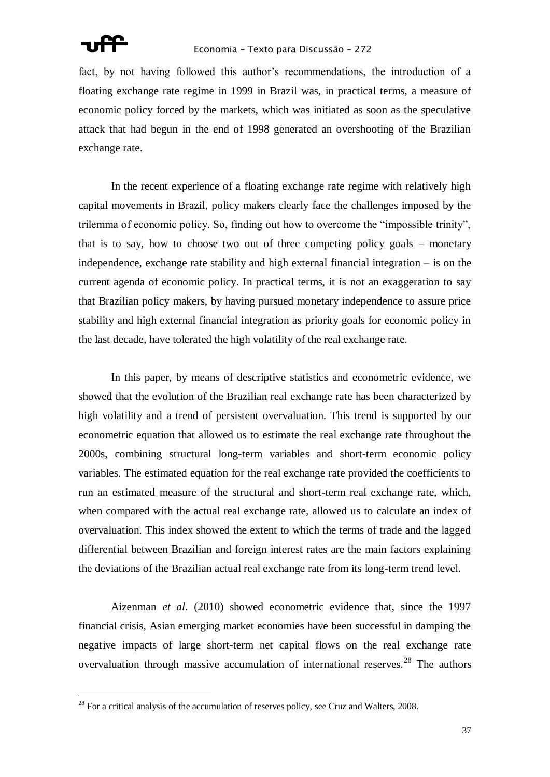

fact, by not having followed this author's recommendations, the introduction of a floating exchange rate regime in 1999 in Brazil was, in practical terms, a measure of economic policy forced by the markets, which was initiated as soon as the speculative attack that had begun in the end of 1998 generated an overshooting of the Brazilian exchange rate.

In the recent experience of a floating exchange rate regime with relatively high capital movements in Brazil, policy makers clearly face the challenges imposed by the trilemma of economic policy. So, finding out how to overcome the "impossible trinity", that is to say, how to choose two out of three competing policy goals – monetary independence, exchange rate stability and high external financial integration – is on the current agenda of economic policy. In practical terms, it is not an exaggeration to say that Brazilian policy makers, by having pursued monetary independence to assure price stability and high external financial integration as priority goals for economic policy in the last decade, have tolerated the high volatility of the real exchange rate.

In this paper, by means of descriptive statistics and econometric evidence, we showed that the evolution of the Brazilian real exchange rate has been characterized by high volatility and a trend of persistent overvaluation. This trend is supported by our econometric equation that allowed us to estimate the real exchange rate throughout the 2000s, combining structural long-term variables and short-term economic policy variables. The estimated equation for the real exchange rate provided the coefficients to run an estimated measure of the structural and short-term real exchange rate, which, when compared with the actual real exchange rate, allowed us to calculate an index of overvaluation. This index showed the extent to which the terms of trade and the lagged differential between Brazilian and foreign interest rates are the main factors explaining the deviations of the Brazilian actual real exchange rate from its long-term trend level.

Aizenman *et al.* (2010) showed econometric evidence that, since the 1997 financial crisis, Asian emerging market economies have been successful in damping the negative impacts of large short-term net capital flows on the real exchange rate overvaluation through massive accumulation of international reserves.<sup>28</sup> The authors

 $^{28}$  For a critical analysis of the accumulation of reserves policy, see Cruz and Walters, 2008.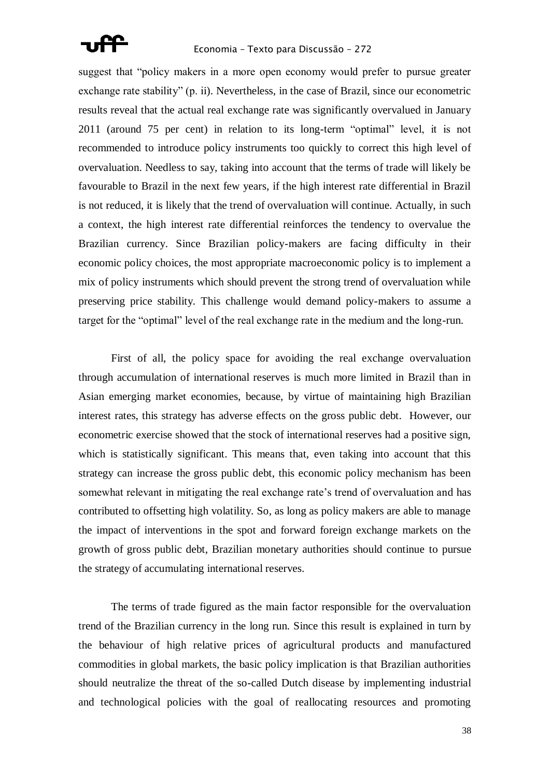

suggest that "policy makers in a more open economy would prefer to pursue greater exchange rate stability"  $(p, i)$ . Nevertheless, in the case of Brazil, since our econometric results reveal that the actual real exchange rate was significantly overvalued in January 2011 (around 75 per cent) in relation to its long-term "optimal" level, it is not recommended to introduce policy instruments too quickly to correct this high level of overvaluation. Needless to say, taking into account that the terms of trade will likely be favourable to Brazil in the next few years, if the high interest rate differential in Brazil is not reduced, it is likely that the trend of overvaluation will continue. Actually, in such a context, the high interest rate differential reinforces the tendency to overvalue the Brazilian currency. Since Brazilian policy-makers are facing difficulty in their economic policy choices, the most appropriate macroeconomic policy is to implement a mix of policy instruments which should prevent the strong trend of overvaluation while preserving price stability. This challenge would demand policy-makers to assume a target for the "optimal" level of the real exchange rate in the medium and the long-run.

First of all, the policy space for avoiding the real exchange overvaluation through accumulation of international reserves is much more limited in Brazil than in Asian emerging market economies, because, by virtue of maintaining high Brazilian interest rates, this strategy has adverse effects on the gross public debt. However, our econometric exercise showed that the stock of international reserves had a positive sign, which is statistically significant. This means that, even taking into account that this strategy can increase the gross public debt, this economic policy mechanism has been somewhat relevant in mitigating the real exchange rate's trend of overvaluation and has contributed to offsetting high volatility. So, as long as policy makers are able to manage the impact of interventions in the spot and forward foreign exchange markets on the growth of gross public debt, Brazilian monetary authorities should continue to pursue the strategy of accumulating international reserves.

The terms of trade figured as the main factor responsible for the overvaluation trend of the Brazilian currency in the long run. Since this result is explained in turn by the behaviour of high relative prices of agricultural products and manufactured commodities in global markets, the basic policy implication is that Brazilian authorities should neutralize the threat of the so-called Dutch disease by implementing industrial and technological policies with the goal of reallocating resources and promoting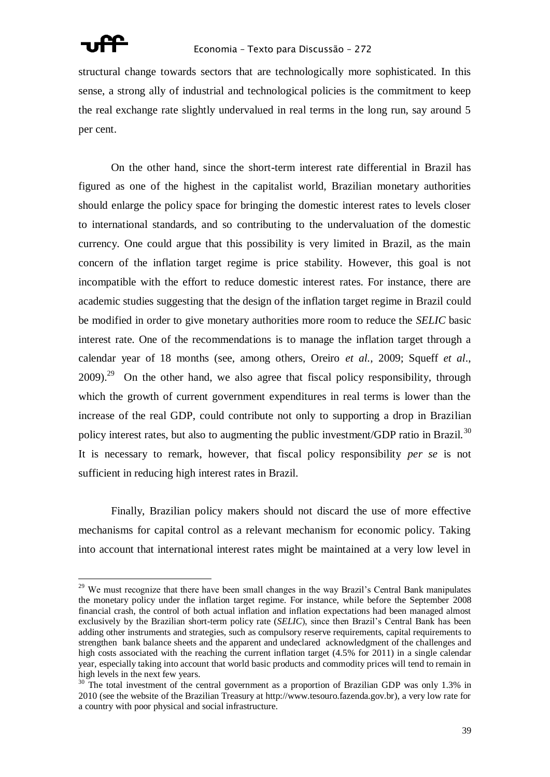

structural change towards sectors that are technologically more sophisticated. In this sense, a strong ally of industrial and technological policies is the commitment to keep the real exchange rate slightly undervalued in real terms in the long run, say around 5 per cent.

On the other hand, since the short-term interest rate differential in Brazil has figured as one of the highest in the capitalist world, Brazilian monetary authorities should enlarge the policy space for bringing the domestic interest rates to levels closer to international standards, and so contributing to the undervaluation of the domestic currency. One could argue that this possibility is very limited in Brazil, as the main concern of the inflation target regime is price stability. However, this goal is not incompatible with the effort to reduce domestic interest rates. For instance, there are academic studies suggesting that the design of the inflation target regime in Brazil could be modified in order to give monetary authorities more room to reduce the *SELIC* basic interest rate. One of the recommendations is to manage the inflation target through a calendar year of 18 months (see, among others, Oreiro *et al.*, 2009; Squeff *et al*.,  $2009$ .<sup>29</sup> On the other hand, we also agree that fiscal policy responsibility, through which the growth of current government expenditures in real terms is lower than the increase of the real GDP, could contribute not only to supporting a drop in Brazilian policy interest rates, but also to augmenting the public investment/GDP ratio in Brazil.<sup>30</sup> It is necessary to remark, however, that fiscal policy responsibility *per se* is not sufficient in reducing high interest rates in Brazil.

Finally, Brazilian policy makers should not discard the use of more effective mechanisms for capital control as a relevant mechanism for economic policy. Taking into account that international interest rates might be maintained at a very low level in

<sup>&</sup>lt;sup>29</sup> We must recognize that there have been small changes in the way Brazil's Central Bank manipulates the monetary policy under the inflation target regime. For instance, while before the September 2008 financial crash, the control of both actual inflation and inflation expectations had been managed almost exclusively by the Brazilian short-term policy rate (*SELIC*), since then Brazil's Central Bank has been adding other instruments and strategies, such as compulsory reserve requirements, capital requirements to strengthen bank balance sheets and the apparent and undeclared acknowledgment of the challenges and high costs associated with the reaching the current inflation target (4.5% for 2011) in a single calendar year, especially taking into account that world basic products and commodity prices will tend to remain in high levels in the next few years.

<sup>&</sup>lt;sup>30</sup> The total investment of the central government as a proportion of Brazilian GDP was only 1.3% in 2010 (see the website of the Brazilian Treasury at http://www.tesouro.fazenda.gov.br), a very low rate for a country with poor physical and social infrastructure.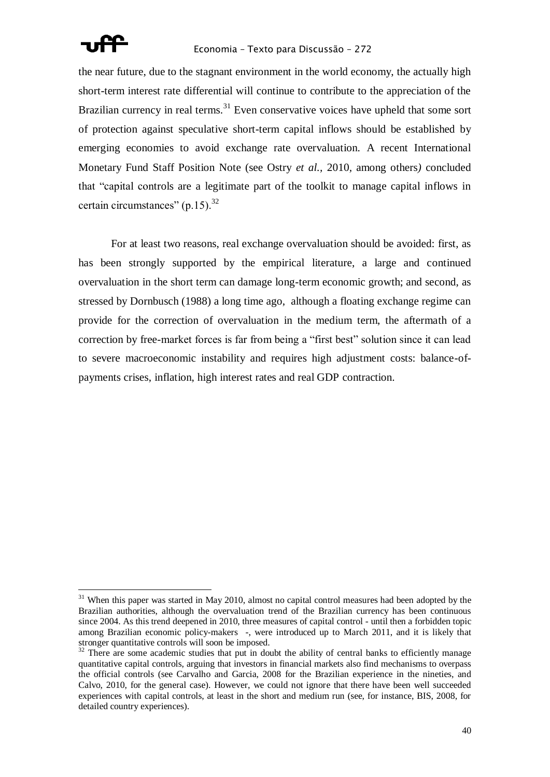

the near future, due to the stagnant environment in the world economy, the actually high short-term interest rate differential will continue to contribute to the appreciation of the Brazilian currency in real terms.<sup>31</sup> Even conservative voices have upheld that some sort of protection against speculative short-term capital inflows should be established by emerging economies to avoid exchange rate overvaluation. A recent International Monetary Fund Staff Position Note (see Ostry *et al.,* 2010*,* among others*)* concluded that "capital controls are a legitimate part of the toolkit to manage capital inflows in certain circumstances" (p.15). $32$ 

For at least two reasons, real exchange overvaluation should be avoided: first, as has been strongly supported by the empirical literature, a large and continued overvaluation in the short term can damage long-term economic growth; and second, as stressed by Dornbusch (1988) a long time ago, although a floating exchange regime can provide for the correction of overvaluation in the medium term, the aftermath of a correction by free-market forces is far from being a "first best" solution since it can lead to severe macroeconomic instability and requires high adjustment costs: balance-ofpayments crises, inflation, high interest rates and real GDP contraction.

<sup>&</sup>lt;sup>31</sup> When this paper was started in May 2010, almost no capital control measures had been adopted by the Brazilian authorities, although the overvaluation trend of the Brazilian currency has been continuous since 2004. As this trend deepened in 2010, three measures of capital control - until then a forbidden topic among Brazilian economic policy-makers -, were introduced up to March 2011, and it is likely that stronger quantitative controls will soon be imposed.

<sup>&</sup>lt;sup>32</sup> There are some academic studies that put in doubt the ability of central banks to efficiently manage quantitative capital controls, arguing that investors in financial markets also find mechanisms to overpass the official controls (see Carvalho and Garcia, 2008 for the Brazilian experience in the nineties, and Calvo, 2010, for the general case). However, we could not ignore that there have been well succeeded experiences with capital controls, at least in the short and medium run (see, for instance, BIS, 2008, for detailed country experiences).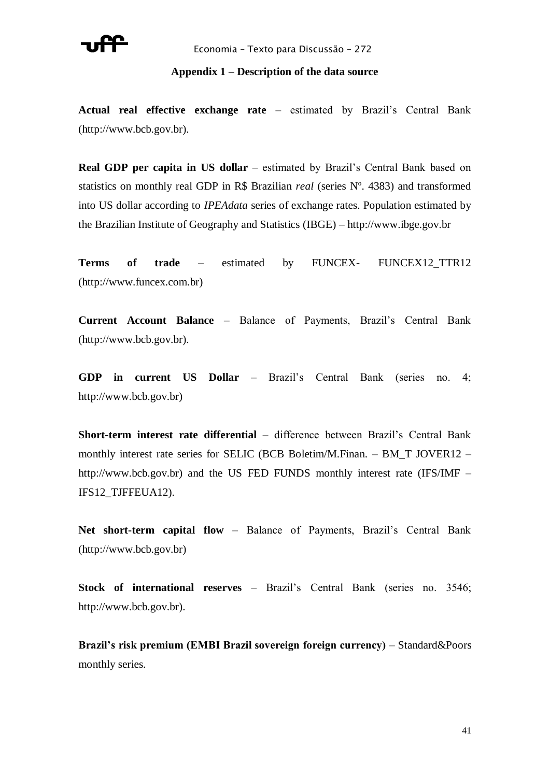

### **Appendix 1 – Description of the data source**

**Actual real effective exchange rate** – estimated by Brazil's Central Bank (http://www.bcb.gov.br).

**Real GDP per capita in US dollar** – estimated by Brazil's Central Bank based on statistics on monthly real GDP in R\$ Brazilian *real* (series Nº. 4383) and transformed into US dollar according to *IPEAdata* series of exchange rates. Population estimated by the Brazilian Institute of Geography and Statistics (IBGE) – http://www.ibge.gov.br

Terms of trade – estimated by FUNCEX- FUNCEX12\_TTR12 (http://www.funcex.com.br)

**Current Account Balance** – Balance of Payments, Brazil's Central Bank (http://www.bcb.gov.br).

**GDP in current US Dollar** – Brazil's Central Bank (series no. 4; http://www.bcb.gov.br)

**Short-term interest rate differential** – difference between Brazil's Central Bank monthly interest rate series for SELIC (BCB Boletim/M.Finan. – BM\_T JOVER12 – http://www.bcb.gov.br) and the US FED FUNDS monthly interest rate (IFS/IMF – IFS12\_TJFFEUA12).

**Net short-term capital flow** – Balance of Payments, Brazil's Central Bank (http://www.bcb.gov.br)

**Stock of international reserves** – Brazil's Central Bank (series no. 3546; http://www.bcb.gov.br).

**Brazil's risk premium (EMBI Brazil sovereign foreign currency)** – Standard&Poors monthly series.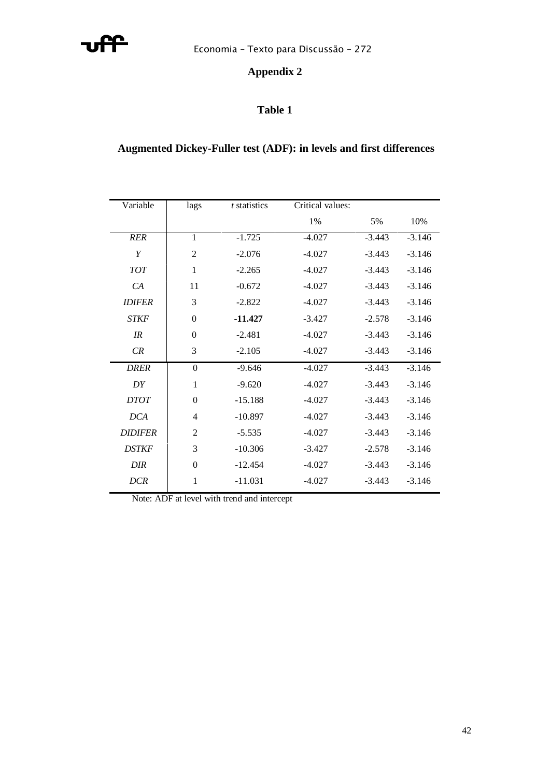

## **Appendix 2**

## **Table 1**

## **Augmented Dickey-Fuller test (ADF): in levels and first differences**

| Variable       | lags           | t statistics | Critical values: |          |          |
|----------------|----------------|--------------|------------------|----------|----------|
|                |                |              | 1%               | 5%       | 10%      |
| <b>RER</b>     | $\mathbf{1}$   | $-1.725$     | $-4.027$         | $-3.443$ | $-3.146$ |
| Y              | $\overline{2}$ | $-2.076$     | $-4.027$         | $-3.443$ | $-3.146$ |
| <b>TOT</b>     | 1              | $-2.265$     | $-4.027$         | $-3.443$ | $-3.146$ |
| CA             | 11             | $-0.672$     | $-4.027$         | $-3.443$ | $-3.146$ |
| <b>IDIFER</b>  | 3              | $-2.822$     | $-4.027$         | $-3.443$ | $-3.146$ |
| <b>STKF</b>    | $\theta$       | $-11.427$    | $-3.427$         | $-2.578$ | $-3.146$ |
| IR             | $\Omega$       | $-2.481$     | $-4.027$         | $-3.443$ | $-3.146$ |
| CR             | 3              | $-2.105$     | $-4.027$         | $-3.443$ | $-3.146$ |
| <b>DRER</b>    | $\theta$       | $-9.646$     | $-4.027$         | $-3.443$ | $-3.146$ |
| DY             | 1              | $-9.620$     | $-4.027$         | $-3.443$ | $-3.146$ |
| <b>DTOT</b>    | $\Omega$       | $-15.188$    | $-4.027$         | $-3.443$ | $-3.146$ |
| DCA            | $\overline{4}$ | $-10.897$    | $-4.027$         | $-3.443$ | $-3.146$ |
| <b>DIDIFER</b> | 2              | $-5.535$     | $-4.027$         | $-3.443$ | $-3.146$ |
| <b>DSTKF</b>   | 3              | $-10.306$    | $-3.427$         | $-2.578$ | $-3.146$ |
| <b>DIR</b>     | $\Omega$       | $-12.454$    | $-4.027$         | $-3.443$ | $-3.146$ |
| <b>DCR</b>     | $\mathbf{1}$   | $-11.031$    | $-4.027$         | $-3.443$ | $-3.146$ |

Note: ADF at level with trend and intercept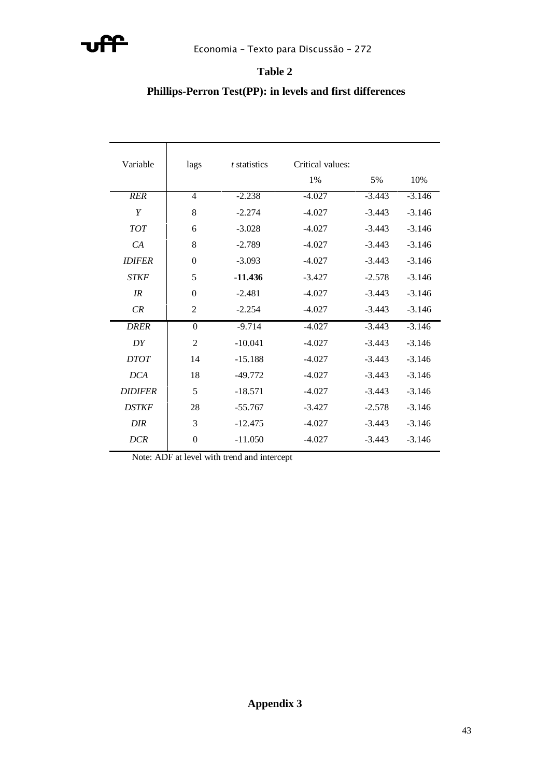

## **Table 2**

## **Phillips-Perron Test(PP): in levels and first differences**

| Variable       | lags           | t statistics | Critical values: |          |          |
|----------------|----------------|--------------|------------------|----------|----------|
|                |                |              | 1%               | 5%       | 10%      |
| <b>RER</b>     | 4              | $-2.238$     | $-4.027$         | $-3.443$ | $-3.146$ |
| Y              | 8              | $-2.274$     | $-4.027$         | $-3.443$ | $-3.146$ |
| <b>TOT</b>     | 6              | $-3.028$     | $-4.027$         | $-3.443$ | $-3.146$ |
| CA             | 8              | $-2.789$     | $-4.027$         | $-3.443$ | $-3.146$ |
| <b>IDIFER</b>  | $\Omega$       | $-3.093$     | $-4.027$         | $-3.443$ | $-3.146$ |
| <b>STKF</b>    | 5              | $-11.436$    | $-3.427$         | $-2.578$ | $-3.146$ |
| IR             | $\overline{0}$ | $-2.481$     | $-4.027$         | $-3.443$ | $-3.146$ |
| CR             | 2              | $-2.254$     | $-4.027$         | $-3.443$ | $-3.146$ |
| <b>DRER</b>    | $\Omega$       | $-9.714$     | $-4.027$         | $-3.443$ | $-3.146$ |
| DY             | $\overline{2}$ | $-10.041$    | $-4.027$         | $-3.443$ | $-3.146$ |
| <b>DTOT</b>    | 14             | $-15.188$    | $-4.027$         | $-3.443$ | $-3.146$ |
| <b>DCA</b>     | 18             | $-49.772$    | $-4.027$         | $-3.443$ | $-3.146$ |
| <b>DIDIFER</b> | 5              | $-18.571$    | $-4.027$         | $-3.443$ | $-3.146$ |
| <b>DSTKF</b>   | 28             | $-55.767$    | $-3.427$         | $-2.578$ | $-3.146$ |
| <b>DIR</b>     | 3              | $-12.475$    | $-4.027$         | $-3.443$ | $-3.146$ |
| <b>DCR</b>     | $\mathbf{0}$   | $-11.050$    | $-4.027$         | $-3.443$ | $-3.146$ |

Note: ADF at level with trend and intercept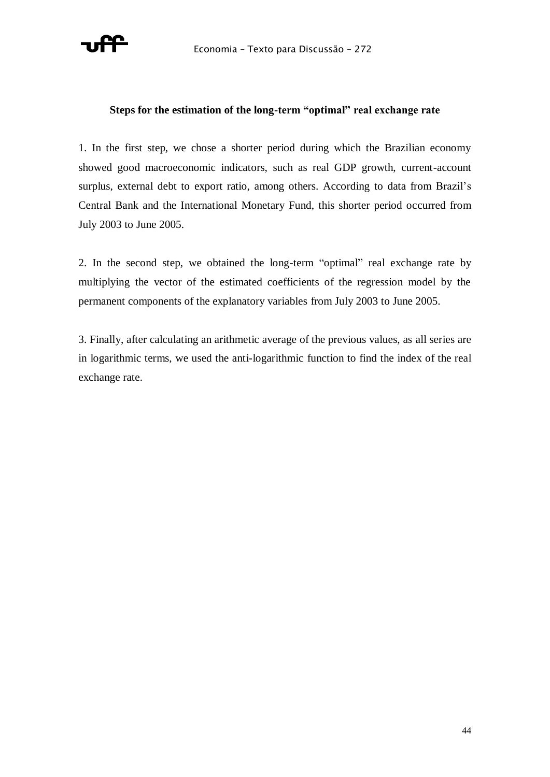

### **Steps for the estimation of the long-term "optimal" real exchange rate**

1. In the first step, we chose a shorter period during which the Brazilian economy showed good macroeconomic indicators, such as real GDP growth, current-account surplus, external debt to export ratio, among others. According to data from Brazil's Central Bank and the International Monetary Fund, this shorter period occurred from July 2003 to June 2005.

2. In the second step, we obtained the long-term "optimal" real exchange rate by multiplying the vector of the estimated coefficients of the regression model by the permanent components of the explanatory variables from July 2003 to June 2005.

3. Finally, after calculating an arithmetic average of the previous values, as all series are in logarithmic terms, we used the anti-logarithmic function to find the index of the real exchange rate.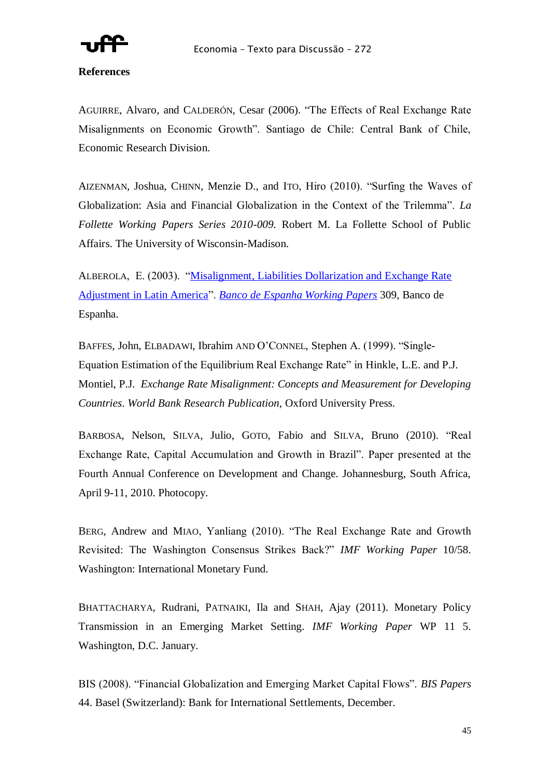

### **References**

AGUIRRE, Alvaro, and CALDERÓN, Cesar (2006). "The Effects of Real Exchange Rate Misalignments on Economic Growth". Santiago de Chile: Central Bank of Chile, Economic Research Division.

AIZENMAN, Joshua, CHINN, Menzie D., and ITO, Hiro (2010). "Surfing the Waves of Globalization: Asia and Financial Globalization in the Context of the Trilemma". *La Follette Working Papers Series 2010-009.* Robert M. La Follette School of Public Affairs. The University of Wisconsin-Madison.

ALBEROLA, E. (2003). "Misalignment, Liabilities Dollarization and Exchange Rate [Adjustment in Latin America‖](http://ideas.repec.org/p/bde/wpaper/0309.html). *[Banco de Espanha Working Papers](http://ideas.repec.org/s/bde/wpaper.html)* 309, Banco de Espanha.

BAFFES, John, ELBADAWI, Ibrahim AND O'CONNEL, Stephen A. (1999). "Single-Equation Estimation of the Equilibrium Real Exchange Rate" in Hinkle, L.E. and P.J. Montiel, P.J. *Exchange Rate Misalignment: Concepts and Measurement for Developing Countries*. *World Bank Research Publication*, Oxford University Press.

BARBOSA, Nelson, SILVA, Julio, GOTO, Fabio and SILVA, Bruno (2010). "Real Exchange Rate, Capital Accumulation and Growth in Brazil". Paper presented at the Fourth Annual Conference on Development and Change. Johannesburg, South Africa, April 9-11, 2010. Photocopy.

BERG, Andrew and MIAO, Yanliang (2010). "The Real Exchange Rate and Growth Revisited: The Washington Consensus Strikes Back?‖ *IMF Working Paper* 10/58. Washington: International Monetary Fund.

BHATTACHARYA, Rudrani, PATNAIKI, Ila and SHAH, Ajay (2011). Monetary Policy Transmission in an Emerging Market Setting. *IMF Working Paper* WP 11 5. Washington, D.C. January.

BIS (2008). "Financial Globalization and Emerging Market Capital Flows". *BIS Papers* 44. Basel (Switzerland): Bank for International Settlements, December.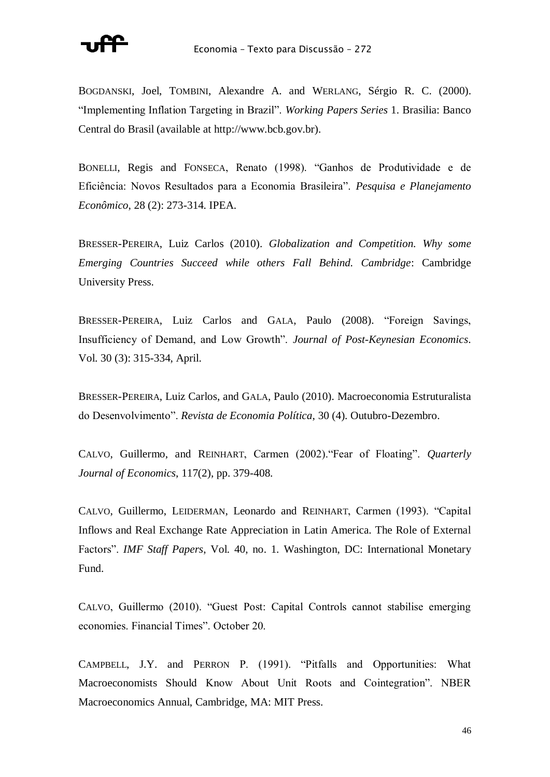

BOGDANSKI, Joel, TOMBINI, Alexandre A. and WERLANG, Sérgio R. C. (2000). ―Implementing Inflation Targeting in Brazil‖. *Working Papers Series* 1. Brasilia: Banco Central do Brasil (available at http://www.bcb.gov.br).

BONELLI, Regis and FONSECA, Renato (1998). "Ganhos de Produtividade e de Eficiência: Novos Resultados para a Economia Brasileira‖. *Pesquisa e Planejamento Econômico*, 28 (2): 273-314. IPEA.

BRESSER-PEREIRA, Luiz Carlos (2010). *Globalization and Competition. Why some Emerging Countries Succeed while others Fall Behind. Cambridge*: Cambridge University Press.

BRESSER-PEREIRA, Luiz Carlos and GALA, Paulo (2008). "Foreign Savings, Insufficiency of Demand, and Low Growth". *Journal of Post-Keynesian Economics*. Vol. 30 (3): 315-334, April.

BRESSER-PEREIRA, Luiz Carlos, and GALA, Paulo (2010). Macroeconomia Estruturalista do Desenvolvimento‖. *Revista de Economia Política*, 30 (4). Outubro-Dezembro.

CALVO, Guillermo, and REINHART, Carmen (2002). "Fear of Floating". *Quarterly Journal of Economics*, 117(2), pp. 379-408.

CALVO, Guillermo, LEIDERMAN, Leonardo and REINHART, Carmen (1993). "Capital Inflows and Real Exchange Rate Appreciation in Latin America. The Role of External Factors". *IMF Staff Papers*, Vol. 40, no. 1. Washington, DC: International Monetary Fund.

CALVO, Guillermo (2010). "Guest Post: Capital Controls cannot stabilise emerging economies. Financial Times". October 20.

CAMPBELL, J.Y. and PERRON P. (1991). "Pitfalls and Opportunities: What Macroeconomists Should Know About Unit Roots and Cointegration". NBER Macroeconomics Annual, Cambridge, MA: MIT Press.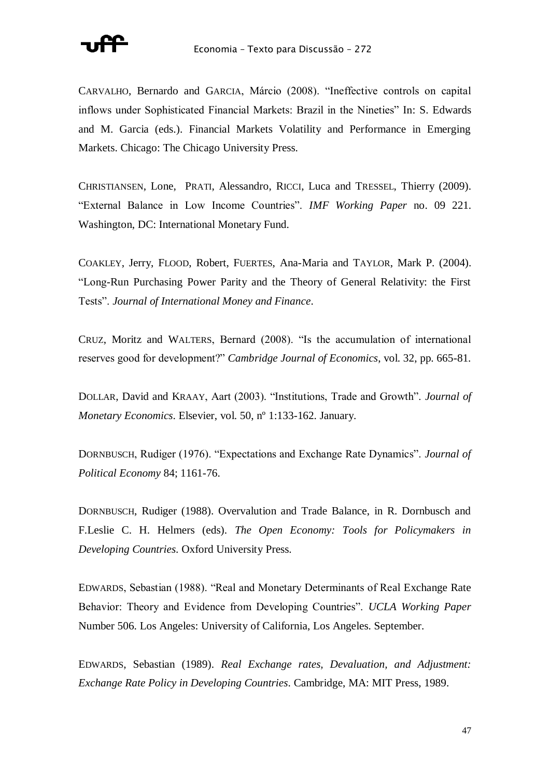

CARVALHO, Bernardo and GARCIA, Márcio (2008). "Ineffective controls on capital inflows under Sophisticated Financial Markets: Brazil in the Nineties" In: S. Edwards and M. Garcia (eds.). Financial Markets Volatility and Performance in Emerging Markets. Chicago: The Chicago University Press.

CHRISTIANSEN, Lone, PRATI, Alessandro, RICCI, Luca and TRESSEL, Thierry (2009). ―External Balance in Low Income Countries‖. *IMF Working Paper* no. 09 221. Washington, DC: International Monetary Fund.

COAKLEY, Jerry, FLOOD, Robert, FUERTES, Ana-Maria and TAYLOR, Mark P. (2004). ―Long-Run Purchasing Power Parity and the Theory of General Relativity: the First Tests‖. *Journal of International Money and Finance*.

CRUZ, Moritz and WALTERS, Bernard (2008). "Is the accumulation of international reserves good for development?" *Cambridge Journal of Economics*, vol. 32, pp. 665-81.

DOLLAR, David and KRAAY, Aart (2003). "Institutions, Trade and Growth". *Journal of Monetary Economics*. Elsevier, vol. 50, nº 1:133-162. January.

DORNBUSCH, Rudiger (1976). "Expectations and Exchange Rate Dynamics". *Journal of Political Economy* 84; 1161-76.

DORNBUSCH, Rudiger (1988). Overvalution and Trade Balance, in R. Dornbusch and F.Leslie C. H. Helmers (eds). *The Open Economy: Tools for Policymakers in Developing Countries*. Oxford University Press.

EDWARDS, Sebastian (1988). "Real and Monetary Determinants of Real Exchange Rate Behavior: Theory and Evidence from Developing Countries". *UCLA Working Paper* Number 506. Los Angeles: University of California, Los Angeles. September.

EDWARDS, Sebastian (1989). *Real Exchange rates, Devaluation, and Adjustment: Exchange Rate Policy in Developing Countries*. Cambridge, MA: MIT Press, 1989.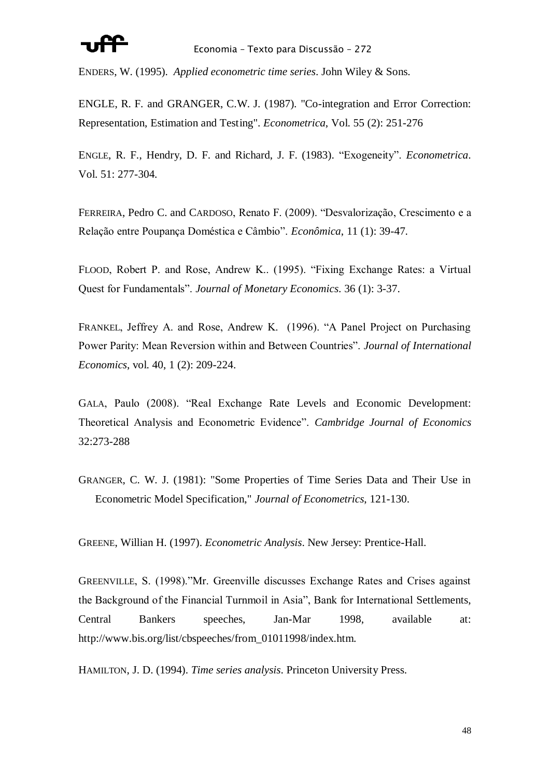ENDERS, W. (1995). *Applied econometric time series*. John Wiley & Sons.

ENGLE, R. F. and GRANGER, C.W. J. (1987). "Co-integration and Error Correction: Representation, Estimation and Testing". *Econometrica*, Vol. 55 (2): 251-276

ENGLE, R. F., Hendry, D. F. and Richard, J. F. (1983). "Exogeneity". *Econometrica*. Vol. 51: 277-304.

FERREIRA, Pedro C. and CARDOSO, Renato F. (2009). "Desvalorização, Crescimento e a Relação entre Poupança Doméstica e Câmbio‖. *Econômica*, 11 (1): 39-47.

FLOOD, Robert P. and Rose, Andrew K.. (1995). "Fixing Exchange Rates: a Virtual Quest for Fundamentals". *Journal of Monetary Economics*. 36 (1): 3-37.

FRANKEL, Jeffrey A. and Rose, Andrew K. (1996). "A Panel Project on Purchasing Power Parity: Mean Reversion within and Between Countries". *Journal of International Economics*, vol. 40, 1 (2): 209-224.

GALA, Paulo (2008). "Real Exchange Rate Levels and Economic Development: Theoretical Analysis and Econometric Evidence‖. *Cambridge Journal of Economics* 32:273-288

GRANGER, C. W. J. (1981): "Some Properties of Time Series Data and Their Use in Econometric Model Specification," *Journal of Econometrics*, 121-130.

GREENE, Willian H. (1997). *Econometric Analysis*. New Jersey: Prentice-Hall.

GREENVILLE, S. (1998). "Mr. Greenville discusses Exchange Rates and Crises against the Background of the Financial Turnmoil in Asia", Bank for International Settlements, Central Bankers speeches, Jan-Mar 1998, available at: http://www.bis.org/list/cbspeeches/from\_01011998/index.htm.

HAMILTON, J. D. (1994). *Time series analysis*. Princeton University Press.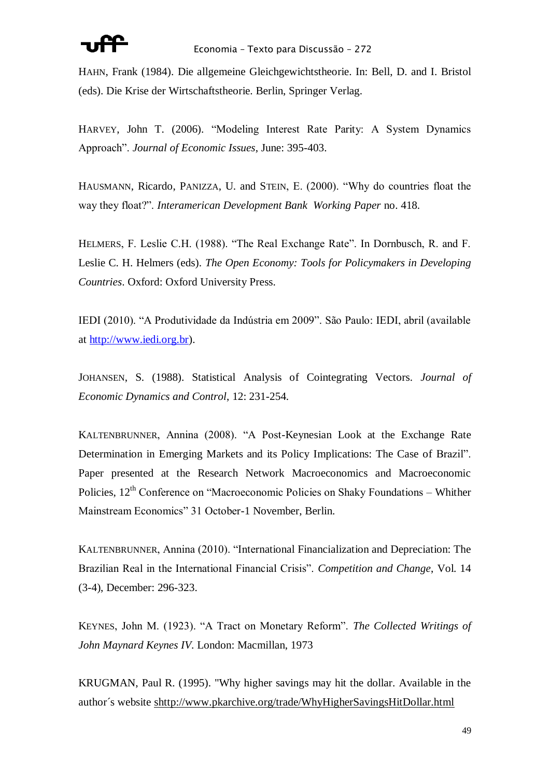HAHN, Frank (1984). Die allgemeine Gleichgewichtstheorie. In: Bell, D. and I. Bristol (eds). Die Krise der Wirtschaftstheorie. Berlin, Springer Verlag.

HARVEY, John T. (2006). "Modeling Interest Rate Parity: A System Dynamics Approach‖. *Journal of Economic Issues*, June: 395-403.

HAUSMANN, Ricardo, PANIZZA, U. and STEIN, E. (2000). "Why do countries float the way they float?". *Interamerican Development Bank Working Paper* no. 418.

HELMERS, F. Leslie C.H. (1988). "The Real Exchange Rate". In Dornbusch, R. and F. Leslie C. H. Helmers (eds). *The Open Economy: Tools for Policymakers in Developing Countries*. Oxford: Oxford University Press.

IEDI (2010). "A Produtividade da Indústria em 2009". São Paulo: IEDI, abril (available at [http://www.iedi.org.br\)](http://www.iedi.org.br/).

JOHANSEN, S. (1988). Statistical Analysis of Cointegrating Vectors. *Journal of Economic Dynamics and Control*, 12: 231-254.

KALTENBRUNNER, Annina (2008). "A Post-Keynesian Look at the Exchange Rate Determination in Emerging Markets and its Policy Implications: The Case of Brazil". Paper presented at the Research Network Macroeconomics and Macroeconomic Policies,  $12<sup>th</sup>$  Conference on "Macroeconomic Policies on Shaky Foundations – Whither Mainstream Economics" 31 October-1 November, Berlin.

KALTENBRUNNER, Annina (2010). "International Financialization and Depreciation: The Brazilian Real in the International Financial Crisis". *Competition and Change*, Vol. 14 (3-4), December: 296-323.

KEYNES, John M. (1923). "A Tract on Monetary Reform". *The Collected Writings of John Maynard Keynes IV*. London: Macmillan, 1973

KRUGMAN, Paul R. (1995). "Why higher savings may hit the dollar. Available in the author´s website [shttp://www.pkarchive.org/trade/WhyHigherSavingsHitDollar.html](http://www.pkarchive.org/trade/WhyHigherSavingsHitDollar.html)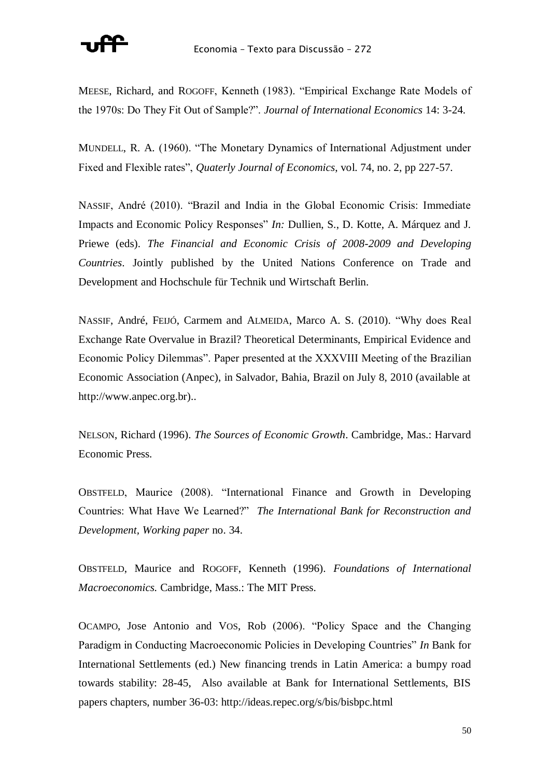

MEESE, Richard, and ROGOFF, Kenneth (1983). "Empirical Exchange Rate Models of the 1970s: Do They Fit Out of Sample?". *Journal of International Economics* 14: 3-24.

MUNDELL, R. A. (1960). "The Monetary Dynamics of International Adjustment under Fixed and Flexible rates", *Quaterly Journal of Economics*, vol. 74, no. 2, pp 227-57.

NASSIF, André (2010). "Brazil and India in the Global Economic Crisis: Immediate Impacts and Economic Policy Responses" *In:* Dullien, S., D. Kotte, A. Márquez and J. Priewe (eds). *The Financial and Economic Crisis of 2008-2009 and Developing Countries*. Jointly published by the United Nations Conference on Trade and Development and Hochschule für Technik und Wirtschaft Berlin.

NASSIF, André, Feijó, Carmem and ALMEIDA, Marco A. S. (2010). "Why does Real Exchange Rate Overvalue in Brazil? Theoretical Determinants, Empirical Evidence and Economic Policy Dilemmas". Paper presented at the XXXVIII Meeting of the Brazilian Economic Association (Anpec), in Salvador, Bahia, Brazil on July 8, 2010 (available at http://www.anpec.org.br)..

NELSON, Richard (1996). *The Sources of Economic Growth*. Cambridge, Mas.: Harvard Economic Press.

OBSTFELD, Maurice (2008). "International Finance and Growth in Developing Countries: What Have We Learned?" The International Bank for Reconstruction and *Development, Working paper* no. 34.

OBSTFELD, Maurice and ROGOFF, Kenneth (1996). *Foundations of International Macroeconomics.* Cambridge, Mass.: The MIT Press.

OCAMPO, Jose Antonio and VOS, Rob (2006). "Policy Space and the Changing Paradigm in Conducting Macroeconomic Policies in Developing Countries" *In* Bank for International Settlements (ed.) New financing trends in Latin America: a bumpy road towards stability: 28-45, Also available at Bank for International Settlements, BIS papers chapters, number 36-03: http://ideas.repec.org/s/bis/bisbpc.html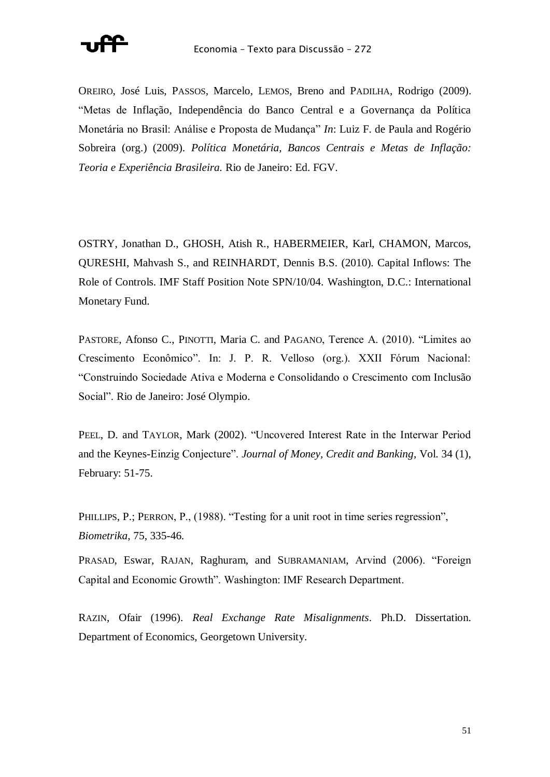

OREIRO, José Luis, PASSOS, Marcelo, LEMOS, Breno and PADILHA, Rodrigo (2009). ―Metas de Inflação, Independência do Banco Central e a Governança da Política Monetária no Brasil: Análise e Proposta de Mudança" *In*: Luiz F. de Paula and Rogério Sobreira (org.) (2009). *Política Monetária, Bancos Centrais e Metas de Inflação: Teoria e Experiência Brasileira.* Rio de Janeiro: Ed. FGV.

OSTRY, Jonathan D., GHOSH, Atish R., HABERMEIER, Karl, CHAMON, Marcos, QURESHI, Mahvash S., and REINHARDT, Dennis B.S. (2010). Capital Inflows: The Role of Controls. IMF Staff Position Note SPN/10/04. Washington, D.C.: International Monetary Fund.

PASTORE, Afonso C., PINOTTI, Maria C. and PAGANO, Terence A. (2010). "Limites ao Crescimento Econômico". In: J. P. R. Velloso (org.). XXII Fórum Nacional: ―Construindo Sociedade Ativa e Moderna e Consolidando o Crescimento com Inclusão Social". Rio de Janeiro: José Olympio.

PEEL, D. and TAYLOR, Mark (2002). "Uncovered Interest Rate in the Interwar Period and the Keynes-Einzig Conjecture". *Journal of Money, Credit and Banking*, Vol. 34 (1), February: 51-75.

PHILLIPS, P.; PERRON, P., (1988). "Testing for a unit root in time series regression", *Biometrika*, 75, 335-46.

PRASAD, Eswar, RAJAN, Raghuram, and SUBRAMANIAM, Arvind (2006). "Foreign Capital and Economic Growth". Washington: IMF Research Department.

RAZIN, Ofair (1996). *Real Exchange Rate Misalignments*. Ph.D. Dissertation. Department of Economics, Georgetown University.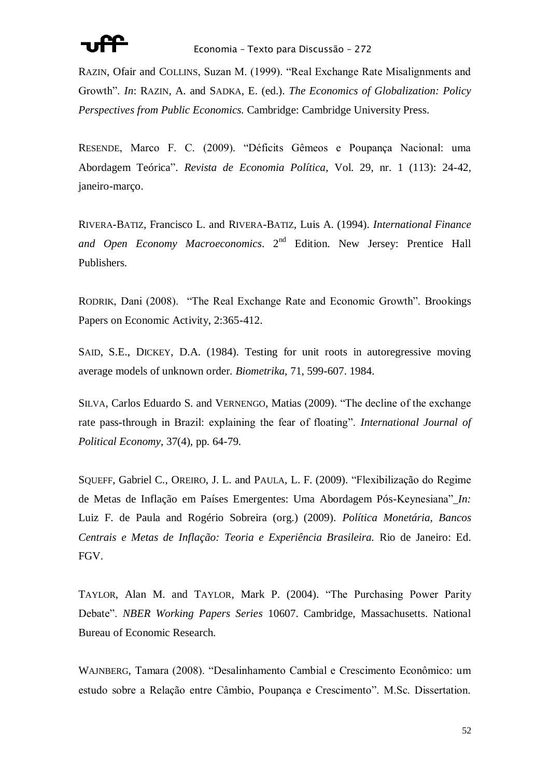

RAZIN, Ofair and COLLINS, Suzan M. (1999). "Real Exchange Rate Misalignments and Growth". *In*: RAZIN, A. and SADKA, E. (ed.). *The Economics of Globalization: Policy Perspectives from Public Economics.* Cambridge: Cambridge University Press.

RESENDE, Marco F. C. (2009). "Déficits Gêmeos e Poupança Nacional: uma Abordagem Teórica‖. *Revista de Economia Política*, Vol. 29, nr. 1 (113): 24-42, janeiro-março.

RIVERA-BATIZ, Francisco L. and RIVERA-BATIZ, Luis A. (1994). *International Finance and Open Economy Macroeconomics*. 2nd Edition. New Jersey: Prentice Hall Publishers.

RODRIK, Dani (2008). "The Real Exchange Rate and Economic Growth". Brookings Papers on Economic Activity, 2:365-412.

SAID, S.E., DICKEY, D.A. (1984). Testing for unit roots in autoregressive moving average models of unknown order. *Biometrika*, 71, 599-607. 1984.

SILVA, Carlos Eduardo S. and VERNENGO, Matias (2009). "The decline of the exchange rate pass-through in Brazil: explaining the fear of floating". *International Journal of Political Economy*, 37(4), pp. 64-79.

SQUEFF, Gabriel C., OREIRO, J. L. and PAULA, L. F. (2009). "Flexibilização do Regime de Metas de Inflação em Países Emergentes: Uma Abordagem Pós-Keynesiana" *In:* Luiz F. de Paula and Rogério Sobreira (org.) (2009). *Política Monetária, Bancos Centrais e Metas de Inflação: Teoria e Experiência Brasileira.* Rio de Janeiro: Ed. FGV.

TAYLOR, Alan M. and TAYLOR, Mark P. (2004). "The Purchasing Power Parity Debate‖. *NBER Working Papers Series* 10607. Cambridge, Massachusetts. National Bureau of Economic Research.

WAJNBERG, Tamara (2008). "Desalinhamento Cambial e Crescimento Econômico: um estudo sobre a Relação entre Câmbio, Poupança e Crescimento". M.Sc. Dissertation.